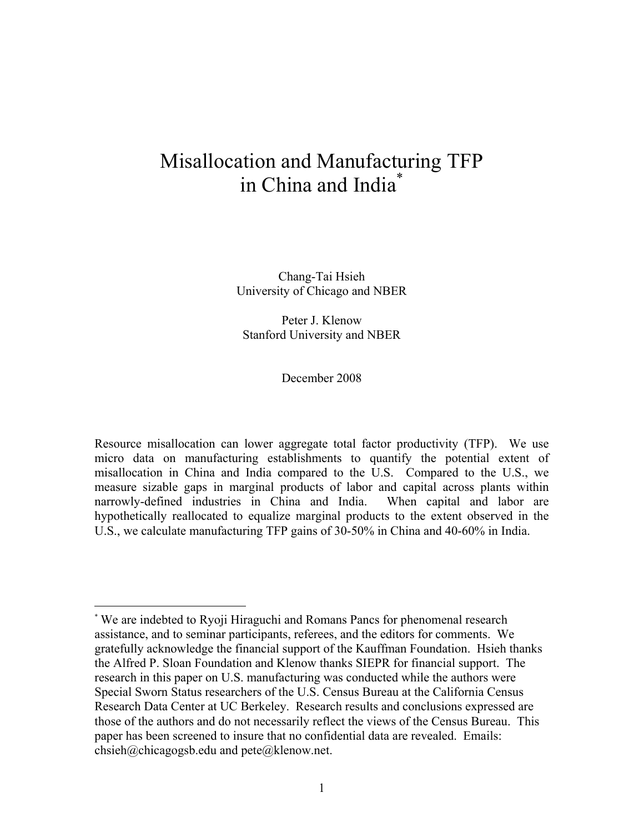# Misallocation and Manufacturing TFP in China and India<sup>\*</sup>

Chang-Tai Hsieh University of Chicago and NBER

Peter J. Klenow Stanford University and NBER

December 2008

Resource misallocation can lower aggregate total factor productivity (TFP). We use micro data on manufacturing establishments to quantify the potential extent of misallocation in China and India compared to the U.S. Compared to the U.S., we measure sizable gaps in marginal products of labor and capital across plants within narrowly-defined industries in China and India. When capital and labor are hypothetically reallocated to equalize marginal products to the extent observed in the U.S., we calculate manufacturing TFP gains of 30-50% in China and 40-60% in India.

 $\overline{a}$ 

<sup>\*</sup> We are indebted to Ryoji Hiraguchi and Romans Pancs for phenomenal research assistance, and to seminar participants, referees, and the editors for comments. We gratefully acknowledge the financial support of the Kauffman Foundation. Hsieh thanks the Alfred P. Sloan Foundation and Klenow thanks SIEPR for financial support. The research in this paper on U.S. manufacturing was conducted while the authors were Special Sworn Status researchers of the U.S. Census Bureau at the California Census Research Data Center at UC Berkeley. Research results and conclusions expressed are those of the authors and do not necessarily reflect the views of the Census Bureau. This paper has been screened to insure that no confidential data are revealed. Emails: chsieh@chicagogsb.edu and pete@klenow.net.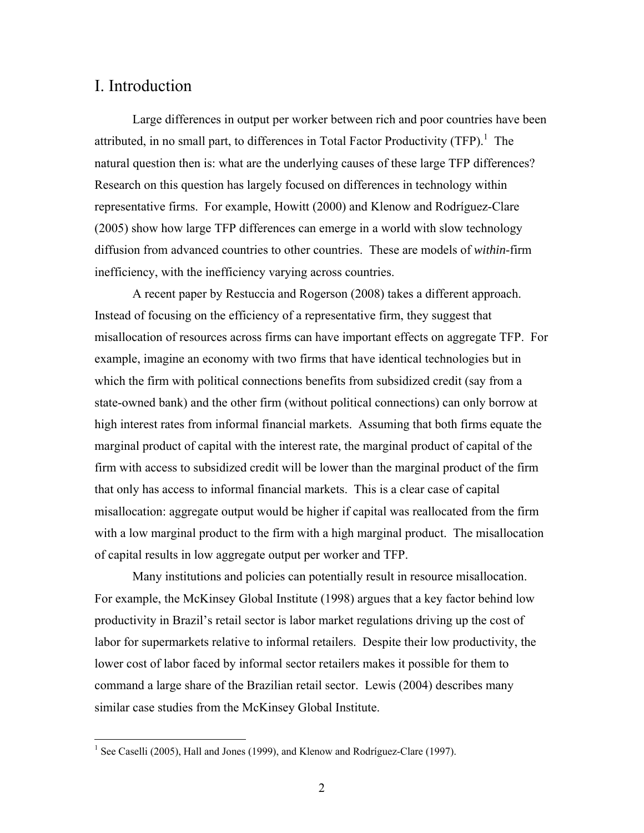### I. Introduction

Large differences in output per worker between rich and poor countries have been attributed, in no small part, to differences in Total Factor Productivity (TFP).<sup>1</sup> The natural question then is: what are the underlying causes of these large TFP differences? Research on this question has largely focused on differences in technology within representative firms. For example, Howitt (2000) and Klenow and Rodríguez-Clare (2005) show how large TFP differences can emerge in a world with slow technology diffusion from advanced countries to other countries. These are models of *within*-firm inefficiency, with the inefficiency varying across countries.

A recent paper by Restuccia and Rogerson (2008) takes a different approach. Instead of focusing on the efficiency of a representative firm, they suggest that misallocation of resources across firms can have important effects on aggregate TFP. For example, imagine an economy with two firms that have identical technologies but in which the firm with political connections benefits from subsidized credit (say from a state-owned bank) and the other firm (without political connections) can only borrow at high interest rates from informal financial markets. Assuming that both firms equate the marginal product of capital with the interest rate, the marginal product of capital of the firm with access to subsidized credit will be lower than the marginal product of the firm that only has access to informal financial markets. This is a clear case of capital misallocation: aggregate output would be higher if capital was reallocated from the firm with a low marginal product to the firm with a high marginal product. The misallocation of capital results in low aggregate output per worker and TFP.

Many institutions and policies can potentially result in resource misallocation. For example, the McKinsey Global Institute (1998) argues that a key factor behind low productivity in Brazil's retail sector is labor market regulations driving up the cost of labor for supermarkets relative to informal retailers. Despite their low productivity, the lower cost of labor faced by informal sector retailers makes it possible for them to command a large share of the Brazilian retail sector. Lewis (2004) describes many similar case studies from the McKinsey Global Institute.

 1 See Caselli (2005), Hall and Jones (1999), and Klenow and Rodríguez-Clare (1997).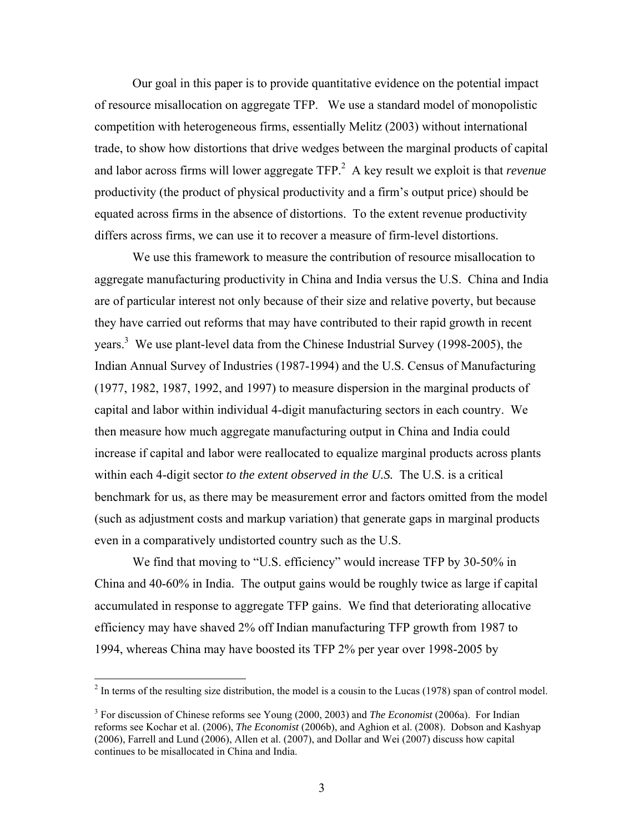Our goal in this paper is to provide quantitative evidence on the potential impact of resource misallocation on aggregate TFP. We use a standard model of monopolistic competition with heterogeneous firms, essentially Melitz (2003) without international trade, to show how distortions that drive wedges between the marginal products of capital and labor across firms will lower aggregate TFP.2 A key result we exploit is that *revenue* productivity (the product of physical productivity and a firm's output price) should be equated across firms in the absence of distortions. To the extent revenue productivity differs across firms, we can use it to recover a measure of firm-level distortions.

We use this framework to measure the contribution of resource misallocation to aggregate manufacturing productivity in China and India versus the U.S. China and India are of particular interest not only because of their size and relative poverty, but because they have carried out reforms that may have contributed to their rapid growth in recent years.<sup>3</sup> We use plant-level data from the Chinese Industrial Survey (1998-2005), the Indian Annual Survey of Industries (1987-1994) and the U.S. Census of Manufacturing (1977, 1982, 1987, 1992, and 1997) to measure dispersion in the marginal products of capital and labor within individual 4-digit manufacturing sectors in each country. We then measure how much aggregate manufacturing output in China and India could increase if capital and labor were reallocated to equalize marginal products across plants within each 4-digit sector *to the extent observed in the U.S.* The U.S. is a critical benchmark for us, as there may be measurement error and factors omitted from the model (such as adjustment costs and markup variation) that generate gaps in marginal products even in a comparatively undistorted country such as the U.S.

We find that moving to "U.S. efficiency" would increase TFP by 30-50% in China and 40-60% in India. The output gains would be roughly twice as large if capital accumulated in response to aggregate TFP gains. We find that deteriorating allocative efficiency may have shaved 2% off Indian manufacturing TFP growth from 1987 to 1994, whereas China may have boosted its TFP 2% per year over 1998-2005 by

<sup>&</sup>lt;sup>2</sup> In terms of the resulting size distribution, the model is a cousin to the Lucas (1978) span of control model.

<sup>&</sup>lt;sup>3</sup> For discussion of Chinese reforms see Young (2000, 2003) and *The Economist* (2006a). For Indian reforms see Kochar et al. (2006), *The Economist* (2006b), and Aghion et al. (2008). Dobson and Kashyap (2006), Farrell and Lund (2006), Allen et al. (2007), and Dollar and Wei (2007) discuss how capital continues to be misallocated in China and India.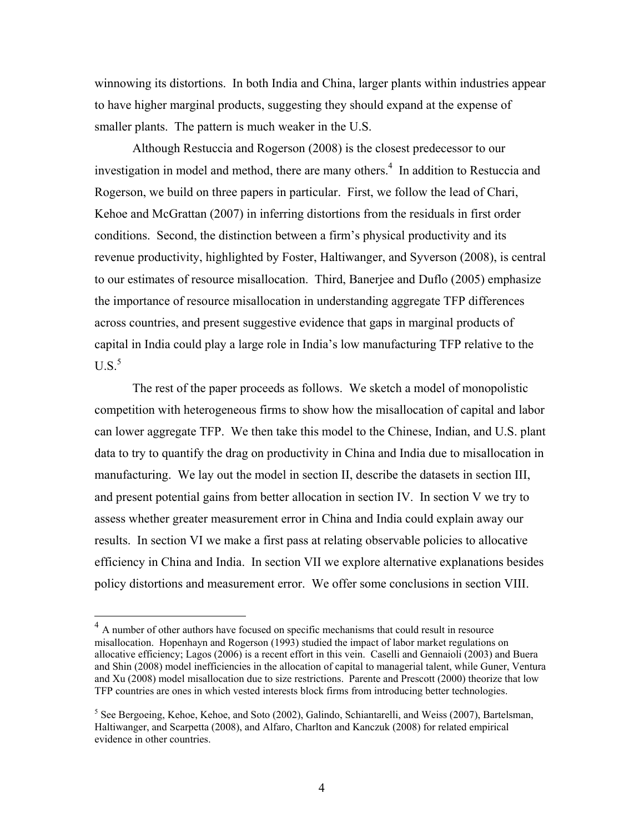winnowing its distortions. In both India and China, larger plants within industries appear to have higher marginal products, suggesting they should expand at the expense of smaller plants. The pattern is much weaker in the U.S.

Although Restuccia and Rogerson (2008) is the closest predecessor to our investigation in model and method, there are many others.<sup>4</sup> In addition to Restuccia and Rogerson, we build on three papers in particular. First, we follow the lead of Chari, Kehoe and McGrattan (2007) in inferring distortions from the residuals in first order conditions. Second, the distinction between a firm's physical productivity and its revenue productivity, highlighted by Foster, Haltiwanger, and Syverson (2008), is central to our estimates of resource misallocation. Third, Banerjee and Duflo (2005) emphasize the importance of resource misallocation in understanding aggregate TFP differences across countries, and present suggestive evidence that gaps in marginal products of capital in India could play a large role in India's low manufacturing TFP relative to the  $U.S.^5$ 

The rest of the paper proceeds as follows. We sketch a model of monopolistic competition with heterogeneous firms to show how the misallocation of capital and labor can lower aggregate TFP. We then take this model to the Chinese, Indian, and U.S. plant data to try to quantify the drag on productivity in China and India due to misallocation in manufacturing. We lay out the model in section II, describe the datasets in section III, and present potential gains from better allocation in section IV. In section V we try to assess whether greater measurement error in China and India could explain away our results. In section VI we make a first pass at relating observable policies to allocative efficiency in China and India. In section VII we explore alternative explanations besides policy distortions and measurement error. We offer some conclusions in section VIII.

 $\overline{a}$ 

 $4\,$  A number of other authors have focused on specific mechanisms that could result in resource misallocation. Hopenhayn and Rogerson (1993) studied the impact of labor market regulations on allocative efficiency; Lagos (2006) is a recent effort in this vein. Caselli and Gennaioli (2003) and Buera and Shin (2008) model inefficiencies in the allocation of capital to managerial talent, while Guner, Ventura and Xu (2008) model misallocation due to size restrictions. Parente and Prescott (2000) theorize that low TFP countries are ones in which vested interests block firms from introducing better technologies.

<sup>&</sup>lt;sup>5</sup> See Bergoeing, Kehoe, Kehoe, and Soto (2002), Galindo, Schiantarelli, and Weiss (2007), Bartelsman, Haltiwanger, and Scarpetta (2008), and Alfaro, Charlton and Kanczuk (2008) for related empirical evidence in other countries.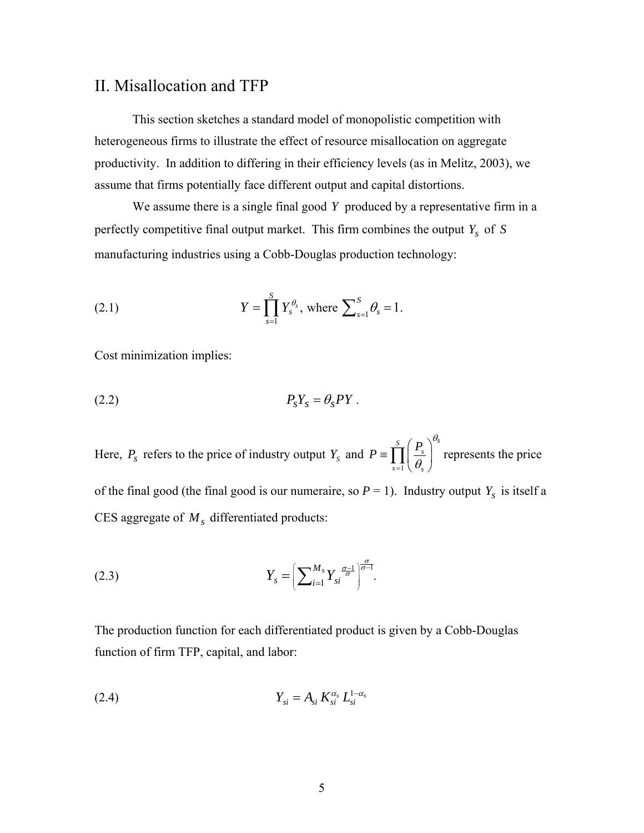### II. Misallocation and TFP

This section sketches a standard model of monopolistic competition with heterogeneous firms to illustrate the effect of resource misallocation on aggregate productivity. In addition to differing in their efficiency levels (as in Melitz, 2003), we assume that firms potentially face different output and capital distortions.

We assume there is a single final good *Y* produced by a representative firm in a perfectly competitive final output market. This firm combines the output  $Y_s$  of *S* manufacturing industries using a Cobb-Douglas production technology:

(2.1) 
$$
Y = \prod_{s=1}^{S} Y_s^{\theta_s}, \text{ where } \sum_{s=1}^{S} \theta_s = 1.
$$

Cost minimization implies:

$$
(2.2) \t\t P_sY_s = \theta_s PY.
$$

Here,  $P_s$  refers to the price of industry output  $Y_s$  and  $P = \prod_{s=1}$  $\frac{s}{\prod}$  (  $P_s$  $s=1$   $\bigcup s$  $P \equiv \prod^S \left(\frac{P_s}{r}\right)^{\theta_s}$  $\equiv \prod_{s=1}^{S} \left( \frac{P_s}{\theta_s} \right)^{v_s}$  represents the price of the final good (the final good is our numeraire, so  $P = 1$ ). Industry output  $Y_s$  is itself a CES aggregate of  $M_s$  differentiated products:

(2.3) 
$$
Y_s = \left(\sum_{i=1}^{M_s} Y_{si} \frac{\sigma^{-1}}{\sigma} \right)^{\frac{\sigma}{\sigma^{-1}}}.
$$

The production function for each differentiated product is given by a Cobb-Douglas function of firm TFP, capital, and labor:

$$
Y_{si} = A_{si} K_{si}^{\alpha_s} L_{si}^{1-\alpha_s}
$$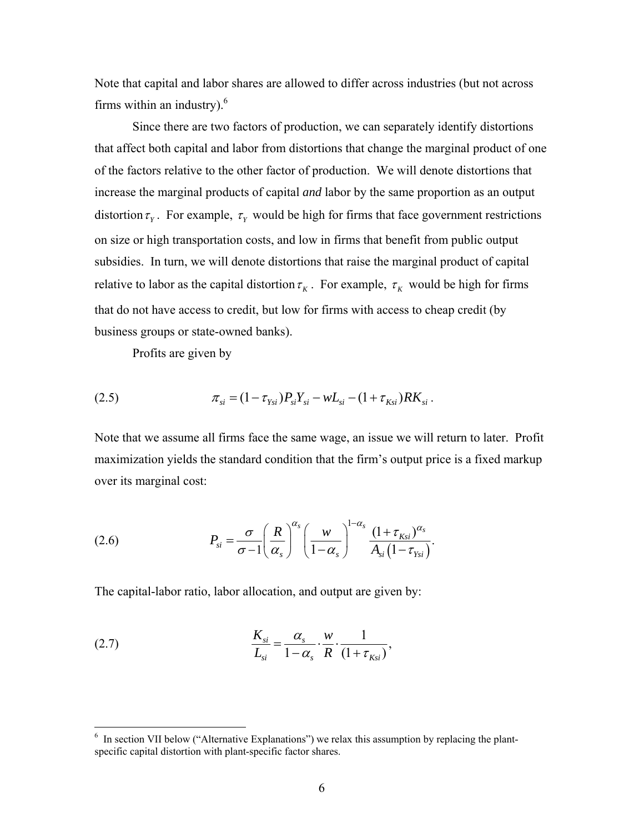Note that capital and labor shares are allowed to differ across industries (but not across firms within an industry). $6$ 

Since there are two factors of production, we can separately identify distortions that affect both capital and labor from distortions that change the marginal product of one of the factors relative to the other factor of production. We will denote distortions that increase the marginal products of capital *and* labor by the same proportion as an output distortion  $\tau_Y$ . For example,  $\tau_Y$  would be high for firms that face government restrictions on size or high transportation costs, and low in firms that benefit from public output subsidies. In turn, we will denote distortions that raise the marginal product of capital relative to labor as the capital distortion  $\tau_K$ . For example,  $\tau_K$  would be high for firms that do not have access to credit, but low for firms with access to cheap credit (by business groups or state-owned banks).

Profits are given by

(2.5) 
$$
\pi_{si} = (1 - \tau_{Ysi}) P_{si} Y_{si} - w L_{si} - (1 + \tau_{Ksi}) R K_{si}.
$$

Note that we assume all firms face the same wage, an issue we will return to later. Profit maximization yields the standard condition that the firm's output price is a fixed markup over its marginal cost:

(2.6) 
$$
P_{si} = \frac{\sigma}{\sigma - 1} \left(\frac{R}{\alpha_s}\right)^{\alpha_s} \left(\frac{w}{1 - \alpha_s}\right)^{1 - \alpha_s} \frac{(1 + \tau_{Ksi})^{\alpha_s}}{A_{si} (1 - \tau_{Ksi})}.
$$

The capital-labor ratio, labor allocation, and output are given by:

$$
\frac{K_{si}}{L_{si}} = \frac{\alpha_s}{1 - \alpha_s} \cdot \frac{w}{R} \cdot \frac{1}{(1 + \tau_{Ksi})},
$$

 6 In section VII below ("Alternative Explanations") we relax this assumption by replacing the plantspecific capital distortion with plant-specific factor shares.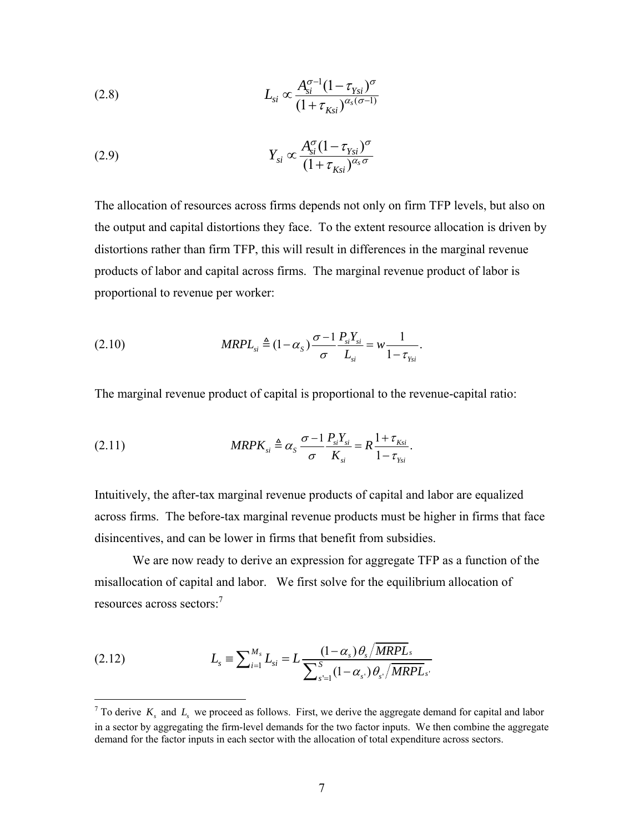(2.8) 
$$
L_{si} \propto \frac{A_{si}^{\sigma-1} (1 - \tau_{Ysi})^{\sigma}}{(1 + \tau_{Ksi})^{\alpha_s(\sigma-1)}}
$$

(2.9) 
$$
Y_{si} \propto \frac{A_{si}^{\sigma} (1 - \tau_{Ysi})^{\sigma}}{(1 + \tau_{Ksi})^{\alpha_s \sigma}}
$$

The allocation of resources across firms depends not only on firm TFP levels, but also on the output and capital distortions they face. To the extent resource allocation is driven by distortions rather than firm TFP, this will result in differences in the marginal revenue products of labor and capital across firms. The marginal revenue product of labor is proportional to revenue per worker:

(2.10) 
$$
MRPL_{si} \triangleq (1 - \alpha_s) \frac{\sigma - 1}{\sigma} \frac{P_{si} Y_{si}}{L_{si}} = w \frac{1}{1 - \tau_{Ysi}}.
$$

The marginal revenue product of capital is proportional to the revenue-capital ratio:

(2.11) 
$$
MRPK_{si} \triangleq \alpha_s \frac{\sigma - 1}{\sigma} \frac{P_{si}Y_{si}}{K_{si}} = R \frac{1 + \tau_{Ksi}}{1 - \tau_{Ysi}}.
$$

Intuitively, the after-tax marginal revenue products of capital and labor are equalized across firms. The before-tax marginal revenue products must be higher in firms that face disincentives, and can be lower in firms that benefit from subsidies.

We are now ready to derive an expression for aggregate TFP as a function of the misallocation of capital and labor. We first solve for the equilibrium allocation of resources across sectors:7

(2.12) 
$$
L_{s} \equiv \sum_{i=1}^{M_{s}} L_{si} = L \frac{(1 - \alpha_{s}) \theta_{s} / MRPL_{s}}{\sum_{s'=1}^{S} (1 - \alpha_{s'}) \theta_{s'} / MRPL_{s'}}
$$

 $\overline{a}$ 

<sup>&</sup>lt;sup>7</sup> To derive  $K_s$  and  $L_s$  we proceed as follows. First, we derive the aggregate demand for capital and labor in a sector by aggregating the firm-level demands for the two factor inputs. We then combine the aggregate demand for the factor inputs in each sector with the allocation of total expenditure across sectors.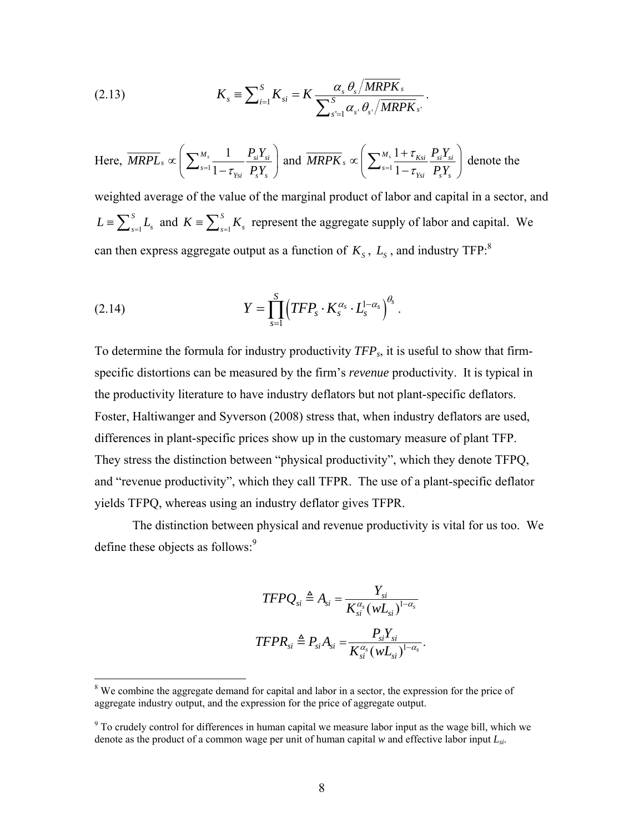(2.13) 
$$
K_s \equiv \sum_{i=1}^S K_{si} = K \frac{\alpha_s \theta_s / MRPK_s}{\sum_{s'=1}^S \alpha_{s'} \theta_{s'} / MRPK_{s'}}.
$$

Here, 
$$
\overline{MRPL}_s \propto \left( \sum_{s=1}^{M_s} \frac{1}{1 - \tau_{Ysi}} \frac{P_{si} Y_{si}}{P_s Y_s} \right)
$$
 and  $\overline{MRPK}_s \propto \left( \sum_{s=1}^{M_s} \frac{1 + \tau_{Ksi}}{1 - \tau_{Ysi}} \frac{P_{si} Y_{si}}{P_s Y_s} \right)$  denote the

weighted average of the value of the marginal product of labor and capital in a sector, and 1  $L \equiv \sum_{s=1}^{S} L_s$  and  $K \equiv \sum_{s=1}^{S}$  $K = \sum_{s=1}^{S} K_s$  represent the aggregate supply of labor and capital. We can then express aggregate output as a function of  $K_s$ ,  $L_s$ , and industry TFP:<sup>8</sup>

(2.14) 
$$
Y = \prod_{s=1}^{S} \left( TFP_s \cdot K_s^{\alpha_s} \cdot L_s^{1-\alpha_s} \right)^{\theta_s}.
$$

To determine the formula for industry productivity *TFPs*, it is useful to show that firmspecific distortions can be measured by the firm's *revenue* productivity. It is typical in the productivity literature to have industry deflators but not plant-specific deflators. Foster, Haltiwanger and Syverson (2008) stress that, when industry deflators are used, differences in plant-specific prices show up in the customary measure of plant TFP. They stress the distinction between "physical productivity", which they denote TFPQ, and "revenue productivity", which they call TFPR. The use of a plant-specific deflator yields TFPQ, whereas using an industry deflator gives TFPR.

The distinction between physical and revenue productivity is vital for us too. We define these objects as follows:<sup>9</sup>

$$
TFPQ_{si} \triangleq A_{si} = \frac{Y_{si}}{K_{si}^{\alpha_s}(wL_{si})^{1-\alpha_s}}
$$

$$
TFPR_{si} \triangleq P_{si}A_{si} = \frac{P_{si}Y_{si}}{K_{si}^{\alpha_s}(wL_{si})^{1-\alpha_s}}.
$$

 $\overline{a}$ 

<sup>&</sup>lt;sup>8</sup> We combine the aggregate demand for capital and labor in a sector, the expression for the price of aggregate industry output, and the expression for the price of aggregate output.

<sup>&</sup>lt;sup>9</sup> To crudely control for differences in human capital we measure labor input as the wage bill, which we denote as the product of a common wage per unit of human capital *w* and effective labor input *Lsi*.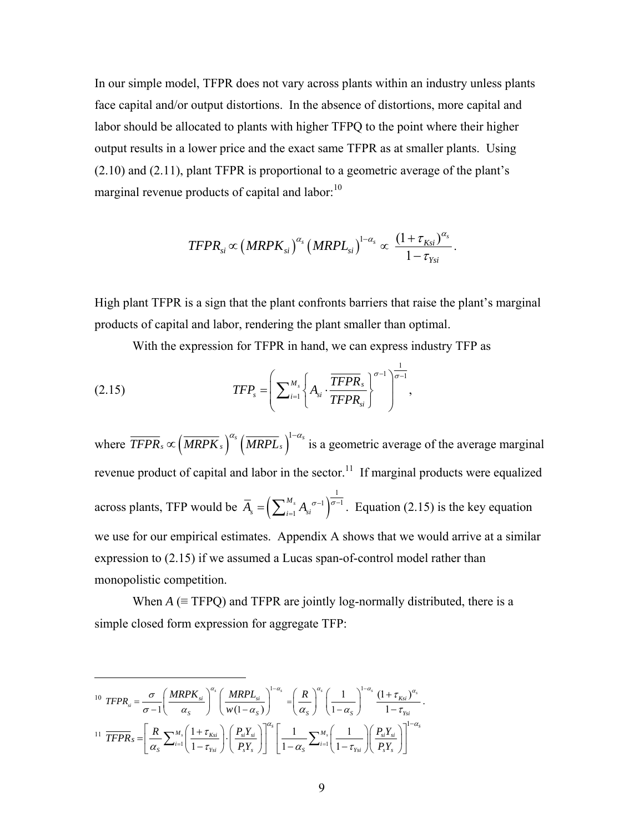In our simple model, TFPR does not vary across plants within an industry unless plants face capital and/or output distortions. In the absence of distortions, more capital and labor should be allocated to plants with higher TFPQ to the point where their higher output results in a lower price and the exact same TFPR as at smaller plants. Using (2.10) and (2.11), plant TFPR is proportional to a geometric average of the plant's marginal revenue products of capital and labor: $10$ 

$$
TFPR_{si} \propto \left(MRPK_{si}\right)^{\alpha_s} \left(MRPL_{si}\right)^{1-\alpha_s} \propto \frac{\left(1+\tau_{Ksi}\right)^{\alpha_s}}{1-\tau_{Ysi}}.
$$

High plant TFPR is a sign that the plant confronts barriers that raise the plant's marginal products of capital and labor, rendering the plant smaller than optimal.

With the expression for TFPR in hand, we can express industry TFP as

(2.15) 
$$
TFP_s = \left(\sum_{i=1}^{M_s} \left\{ A_{si} \cdot \frac{\overline{TFPR_s}}{\overline{TFPR_{si}}}\right\}^{\sigma-1}\right)^{\frac{1}{\sigma-1}},
$$

where  $\overline{TFPR}_s \propto (\overline{MRPK}_s)^{\alpha_s} (\overline{MRPL}_s)^{1-\alpha_s}$  is a geometric average of the average marginal revenue product of capital and labor in the sector.<sup>11</sup> If marginal products were equalized across plants, TFP would be  $\overline{A}_s = \left( \sum_{i=1}^{M_s} A_{si}^{\sigma-1} \right)$ 1  $1 \sigma-1$ 1 *Ms*  $\overline{A}_s = \left( \sum_{i=1}^{M_s} A_{si}^{\sigma-1} \right) \sigma^{-1}$ . Equation (2.15) is the key equation we use for our empirical estimates. Appendix A shows that we would arrive at a similar expression to (2.15) if we assumed a Lucas span-of-control model rather than monopolistic competition.

When  $A \equiv \text{TFPQ}$  and TFPR are jointly log-normally distributed, there is a simple closed form expression for aggregate TFP:

$$
\frac{10 \text{ TFPR}_{si} = \frac{\sigma}{\sigma - 1} \left( \frac{MRPK_{si}}{\alpha_{s}} \right)^{\alpha_{s}} \left( \frac{MRPL_{si}}{w(1 - \alpha_{s})} \right)^{1 - \alpha_{s}} = \left( \frac{R}{\alpha_{s}} \right)^{\alpha_{s}} \left( \frac{1}{1 - \alpha_{s}} \right)^{1 - \alpha_{s}} \frac{\left(1 + \tau_{Ksi}\right)^{\alpha_{s}}}{1 - \tau_{Ksi}}.
$$
\n
$$
11 \text{ TFPR}_{s} = \left[ \frac{R}{\alpha_{s}} \sum_{i=1}^{M_{s}} \left( \frac{1 + \tau_{Ksi}}{1 - \tau_{Ksi}} \right) \cdot \left( \frac{P_{si}Y_{si}}{PY_{s}} \right) \right]^{\alpha_{s}} \left[ \frac{1}{1 - \alpha_{s}} \sum_{i=1}^{M_{s}} \left( \frac{1}{1 - \tau_{Ksi}} \right) \left( \frac{P_{si}Y_{si}}{PY_{s}} \right) \right]^{1 - \alpha_{s}}.
$$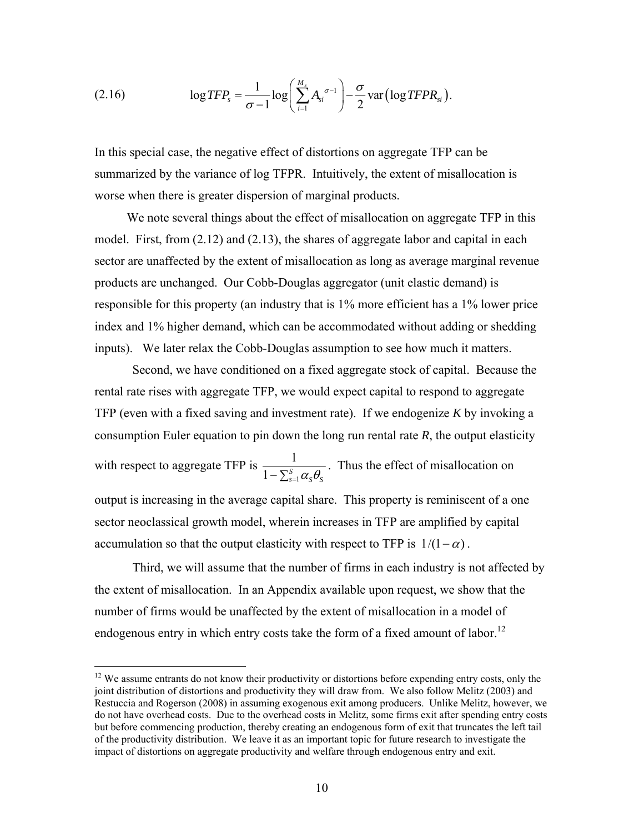(2.16) 
$$
\log TFP_s = \frac{1}{\sigma - 1} \log \left( \sum_{i=1}^{M_s} A_{si}^{\sigma - 1} \right) - \frac{\sigma}{2} \text{var} \left( \log TFPR_{si} \right).
$$

In this special case, the negative effect of distortions on aggregate TFP can be summarized by the variance of log TFPR. Intuitively, the extent of misallocation is worse when there is greater dispersion of marginal products.

 We note several things about the effect of misallocation on aggregate TFP in this model. First, from (2.12) and (2.13), the shares of aggregate labor and capital in each sector are unaffected by the extent of misallocation as long as average marginal revenue products are unchanged. Our Cobb-Douglas aggregator (unit elastic demand) is responsible for this property (an industry that is 1% more efficient has a 1% lower price index and 1% higher demand, which can be accommodated without adding or shedding inputs). We later relax the Cobb-Douglas assumption to see how much it matters.

Second, we have conditioned on a fixed aggregate stock of capital. Because the rental rate rises with aggregate TFP, we would expect capital to respond to aggregate TFP (even with a fixed saving and investment rate). If we endogenize *K* by invoking a consumption Euler equation to pin down the long run rental rate  $R$ , the output elasticity with respect to aggregate TFP is 1 1  $1 - \sum_{s=1}^{S} \alpha_s \theta_s$ . Thus the effect of misallocation on output is increasing in the average capital share. This property is reminiscent of a one sector neoclassical growth model, wherein increases in TFP are amplified by capital accumulation so that the output elasticity with respect to TFP is  $1/(1 - \alpha)$ .

 Third, we will assume that the number of firms in each industry is not affected by the extent of misallocation. In an Appendix available upon request, we show that the number of firms would be unaffected by the extent of misallocation in a model of endogenous entry in which entry costs take the form of a fixed amount of labor.<sup>12</sup>

 $\overline{a}$ 

 $12$  We assume entrants do not know their productivity or distortions before expending entry costs, only the joint distribution of distortions and productivity they will draw from. We also follow Melitz (2003) and Restuccia and Rogerson (2008) in assuming exogenous exit among producers. Unlike Melitz, however, we do not have overhead costs. Due to the overhead costs in Melitz, some firms exit after spending entry costs but before commencing production, thereby creating an endogenous form of exit that truncates the left tail of the productivity distribution. We leave it as an important topic for future research to investigate the impact of distortions on aggregate productivity and welfare through endogenous entry and exit.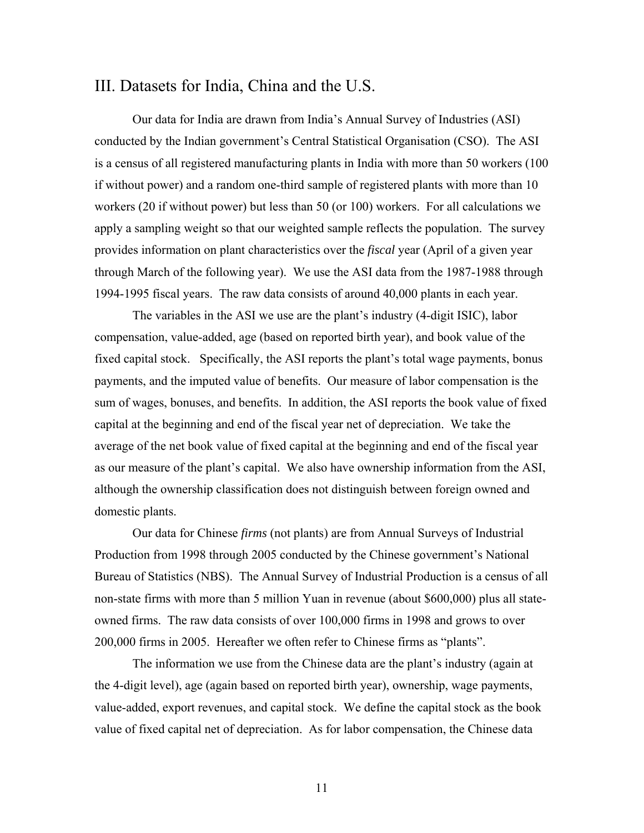#### III. Datasets for India, China and the U.S.

Our data for India are drawn from India's Annual Survey of Industries (ASI) conducted by the Indian government's Central Statistical Organisation (CSO). The ASI is a census of all registered manufacturing plants in India with more than 50 workers (100 if without power) and a random one-third sample of registered plants with more than 10 workers (20 if without power) but less than 50 (or 100) workers. For all calculations we apply a sampling weight so that our weighted sample reflects the population. The survey provides information on plant characteristics over the *fiscal* year (April of a given year through March of the following year). We use the ASI data from the 1987-1988 through 1994-1995 fiscal years. The raw data consists of around 40,000 plants in each year.

The variables in the ASI we use are the plant's industry (4-digit ISIC), labor compensation, value-added, age (based on reported birth year), and book value of the fixed capital stock. Specifically, the ASI reports the plant's total wage payments, bonus payments, and the imputed value of benefits. Our measure of labor compensation is the sum of wages, bonuses, and benefits. In addition, the ASI reports the book value of fixed capital at the beginning and end of the fiscal year net of depreciation. We take the average of the net book value of fixed capital at the beginning and end of the fiscal year as our measure of the plant's capital. We also have ownership information from the ASI, although the ownership classification does not distinguish between foreign owned and domestic plants.

Our data for Chinese *firms* (not plants) are from Annual Surveys of Industrial Production from 1998 through 2005 conducted by the Chinese government's National Bureau of Statistics (NBS). The Annual Survey of Industrial Production is a census of all non-state firms with more than 5 million Yuan in revenue (about \$600,000) plus all stateowned firms. The raw data consists of over 100,000 firms in 1998 and grows to over 200,000 firms in 2005. Hereafter we often refer to Chinese firms as "plants".

The information we use from the Chinese data are the plant's industry (again at the 4-digit level), age (again based on reported birth year), ownership, wage payments, value-added, export revenues, and capital stock. We define the capital stock as the book value of fixed capital net of depreciation. As for labor compensation, the Chinese data

11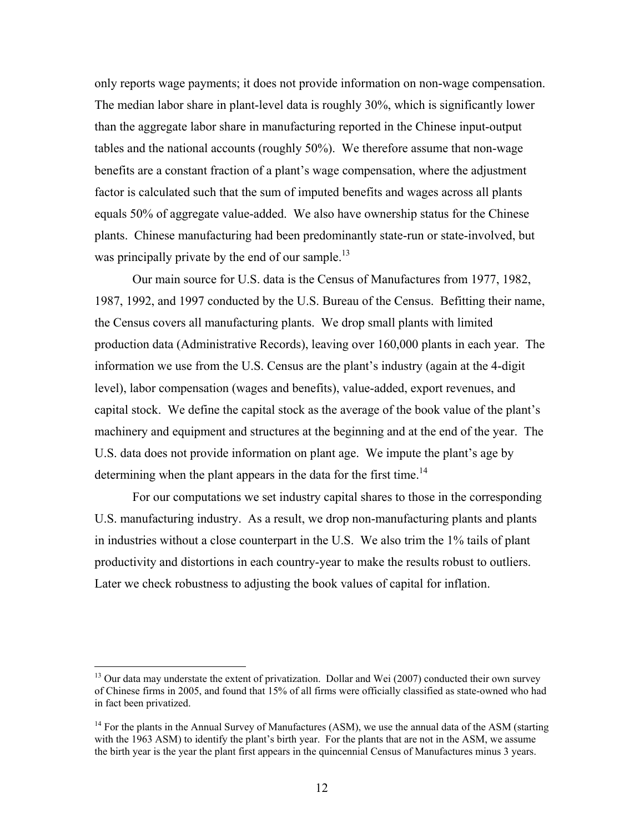only reports wage payments; it does not provide information on non-wage compensation. The median labor share in plant-level data is roughly 30%, which is significantly lower than the aggregate labor share in manufacturing reported in the Chinese input-output tables and the national accounts (roughly 50%). We therefore assume that non-wage benefits are a constant fraction of a plant's wage compensation, where the adjustment factor is calculated such that the sum of imputed benefits and wages across all plants equals 50% of aggregate value-added. We also have ownership status for the Chinese plants. Chinese manufacturing had been predominantly state-run or state-involved, but was principally private by the end of our sample.<sup>13</sup>

Our main source for U.S. data is the Census of Manufactures from 1977, 1982, 1987, 1992, and 1997 conducted by the U.S. Bureau of the Census. Befitting their name, the Census covers all manufacturing plants. We drop small plants with limited production data (Administrative Records), leaving over 160,000 plants in each year. The information we use from the U.S. Census are the plant's industry (again at the 4-digit level), labor compensation (wages and benefits), value-added, export revenues, and capital stock. We define the capital stock as the average of the book value of the plant's machinery and equipment and structures at the beginning and at the end of the year. The U.S. data does not provide information on plant age. We impute the plant's age by determining when the plant appears in the data for the first time.<sup>14</sup>

For our computations we set industry capital shares to those in the corresponding U.S. manufacturing industry. As a result, we drop non-manufacturing plants and plants in industries without a close counterpart in the U.S. We also trim the 1% tails of plant productivity and distortions in each country-year to make the results robust to outliers. Later we check robustness to adjusting the book values of capital for inflation.

<u>.</u>

 $13$  Our data may understate the extent of privatization. Dollar and Wei (2007) conducted their own survey of Chinese firms in 2005, and found that 15% of all firms were officially classified as state-owned who had in fact been privatized.

<sup>&</sup>lt;sup>14</sup> For the plants in the Annual Survey of Manufactures (ASM), we use the annual data of the ASM (starting with the 1963 ASM) to identify the plant's birth year. For the plants that are not in the ASM, we assume the birth year is the year the plant first appears in the quincennial Census of Manufactures minus 3 years.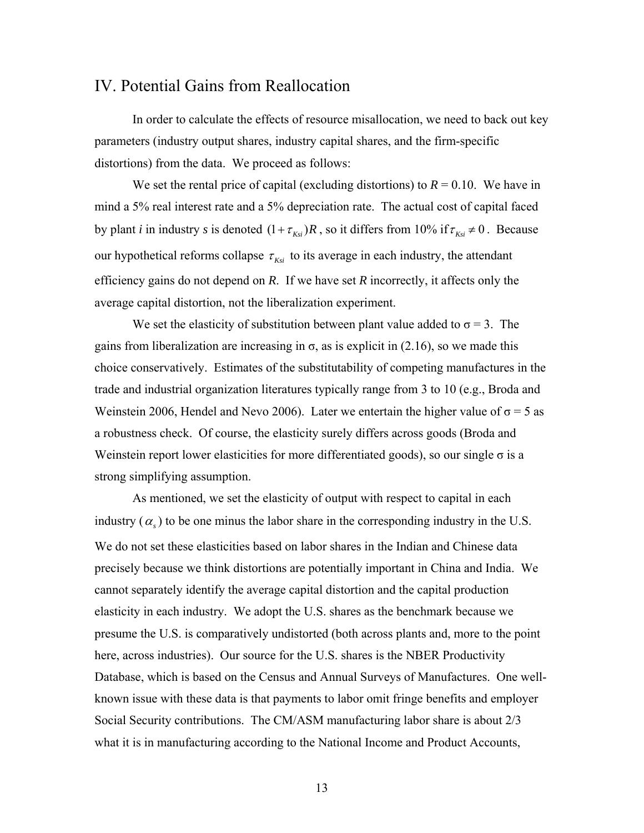### IV. Potential Gains from Reallocation

In order to calculate the effects of resource misallocation, we need to back out key parameters (industry output shares, industry capital shares, and the firm-specific distortions) from the data. We proceed as follows:

We set the rental price of capital (excluding distortions) to  $R = 0.10$ . We have in mind a 5% real interest rate and a 5% depreciation rate. The actual cost of capital faced by plant *i* in industry *s* is denoted  $(1 + \tau_{Ksi})R$ , so it differs from 10% if  $\tau_{Ksi} \neq 0$ . Because our hypothetical reforms collapse  $\tau_{Ksi}$  to its average in each industry, the attendant efficiency gains do not depend on *R*. If we have set *R* incorrectly, it affects only the average capital distortion, not the liberalization experiment.

We set the elasticity of substitution between plant value added to  $\sigma = 3$ . The gains from liberalization are increasing in  $\sigma$ , as is explicit in (2.16), so we made this choice conservatively. Estimates of the substitutability of competing manufactures in the trade and industrial organization literatures typically range from 3 to 10 (e.g., Broda and Weinstein 2006, Hendel and Nevo 2006). Later we entertain the higher value of  $\sigma = 5$  as a robustness check. Of course, the elasticity surely differs across goods (Broda and Weinstein report lower elasticities for more differentiated goods), so our single  $\sigma$  is a strong simplifying assumption.

As mentioned, we set the elasticity of output with respect to capital in each industry  $(\alpha_s)$  to be one minus the labor share in the corresponding industry in the U.S. We do not set these elasticities based on labor shares in the Indian and Chinese data precisely because we think distortions are potentially important in China and India. We cannot separately identify the average capital distortion and the capital production elasticity in each industry. We adopt the U.S. shares as the benchmark because we presume the U.S. is comparatively undistorted (both across plants and, more to the point here, across industries). Our source for the U.S. shares is the NBER Productivity Database, which is based on the Census and Annual Surveys of Manufactures. One wellknown issue with these data is that payments to labor omit fringe benefits and employer Social Security contributions. The CM/ASM manufacturing labor share is about 2/3 what it is in manufacturing according to the National Income and Product Accounts,

13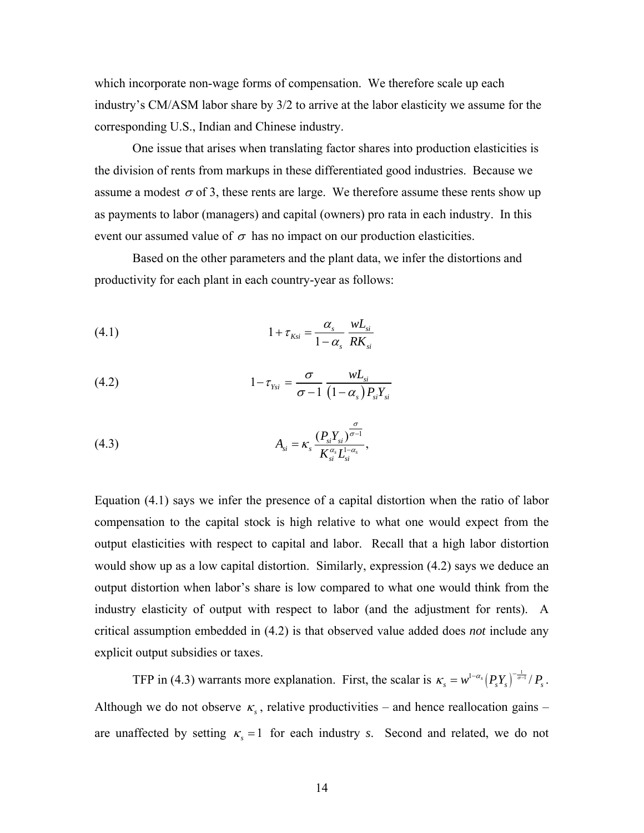which incorporate non-wage forms of compensation. We therefore scale up each industry's CM/ASM labor share by 3/2 to arrive at the labor elasticity we assume for the corresponding U.S., Indian and Chinese industry.

One issue that arises when translating factor shares into production elasticities is the division of rents from markups in these differentiated good industries. Because we assume a modest  $\sigma$  of 3, these rents are large. We therefore assume these rents show up as payments to labor (managers) and capital (owners) pro rata in each industry. In this event our assumed value of  $\sigma$  has no impact on our production elasticities.

Based on the other parameters and the plant data, we infer the distortions and productivity for each plant in each country-year as follows:

$$
(4.1) \t\t\t 1 + \tau_{Ksi} = \frac{\alpha_s}{1 - \alpha_s} \frac{w L_{si}}{R K_{si}}
$$

$$
(4.2) \t 1-\tau_{\gamma_{si}} = \frac{\sigma}{\sigma-1} \frac{wL_{si}}{(1-\alpha_s)P_{si}Y_{si}}
$$

(4.3) 
$$
A_{si} = \kappa_s \frac{(P_{si} Y_{si})^{\frac{\sigma}{\sigma-1}}}{K_{si}^{\alpha_s} L_{si}^{1-\alpha_s}},
$$

Equation (4.1) says we infer the presence of a capital distortion when the ratio of labor compensation to the capital stock is high relative to what one would expect from the output elasticities with respect to capital and labor. Recall that a high labor distortion would show up as a low capital distortion. Similarly, expression (4.2) says we deduce an output distortion when labor's share is low compared to what one would think from the industry elasticity of output with respect to labor (and the adjustment for rents). A critical assumption embedded in (4.2) is that observed value added does *not* include any explicit output subsidies or taxes.

TFP in (4.3) warrants more explanation. First, the scalar is  $\kappa_s = w^{1-\alpha_s} (P_s Y_s)^{-\frac{1}{\sigma-1}} / P_s$ . Although we do not observe  $\kappa$ <sub>s</sub>, relative productivities – and hence reallocation gains – are unaffected by setting  $\kappa$ <sub>s</sub> = 1 for each industry *s*. Second and related, we do not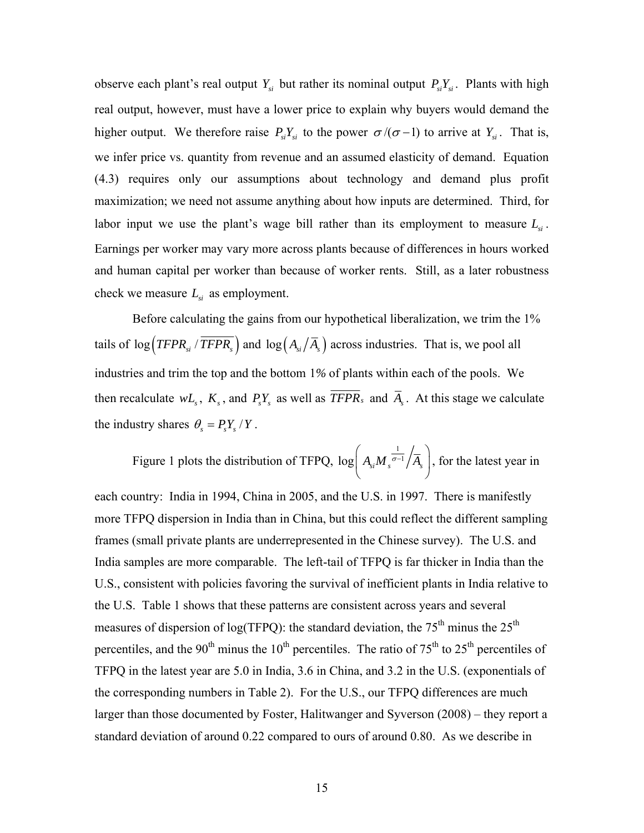observe each plant's real output  $Y_{si}$  but rather its nominal output  $P_{si}Y_{si}$ . Plants with high real output, however, must have a lower price to explain why buyers would demand the higher output. We therefore raise  $P_{si}Y_{si}$  to the power  $\sigma/(\sigma-1)$  to arrive at  $Y_{si}$ . That is, we infer price vs. quantity from revenue and an assumed elasticity of demand. Equation (4.3) requires only our assumptions about technology and demand plus profit maximization; we need not assume anything about how inputs are determined. Third, for labor input we use the plant's wage bill rather than its employment to measure  $L_{si}$ . Earnings per worker may vary more across plants because of differences in hours worked and human capital per worker than because of worker rents. Still, as a later robustness check we measure  $L_{si}$  as employment.

Before calculating the gains from our hypothetical liberalization, we trim the 1% tails of  $\log (TFPR_{si} / \overline{TFR_s})$  and  $\log (A_{si} / \overline{A}_s)$  across industries. That is, we pool all industries and trim the top and the bottom 1*%* of plants within each of the pools. We then recalculate  $wL_s$ ,  $K_s$ , and  $P_sY_s$  as well as  $\overline{TFPR}_s$  and  $\overline{A}_s$ . At this stage we calculate the industry shares  $\theta_s = P_s Y_s / Y$ .

Figure 1 plots the distribution of TFPQ,  $\log\biggl(A_{\scriptscriptstyle{Si}} M_{\scriptscriptstyle{S}}^{\,\,\frac{1}{\sigma-1}}\Big/\overline{A}_{\scriptscriptstyle{S}}\,\biggr)$ , for the latest year in

each country: India in 1994, China in 2005, and the U.S. in 1997. There is manifestly more TFPQ dispersion in India than in China, but this could reflect the different sampling frames (small private plants are underrepresented in the Chinese survey). The U.S. and India samples are more comparable. The left-tail of TFPQ is far thicker in India than the U.S., consistent with policies favoring the survival of inefficient plants in India relative to the U.S. Table 1 shows that these patterns are consistent across years and several measures of dispersion of log(TFPQ): the standard deviation, the  $75<sup>th</sup>$  minus the  $25<sup>th</sup>$ percentiles, and the 90<sup>th</sup> minus the 10<sup>th</sup> percentiles. The ratio of 75<sup>th</sup> to 25<sup>th</sup> percentiles of TFPQ in the latest year are 5.0 in India, 3.6 in China, and 3.2 in the U.S. (exponentials of the corresponding numbers in Table 2). For the U.S., our TFPQ differences are much larger than those documented by Foster, Halitwanger and Syverson (2008) – they report a standard deviation of around 0.22 compared to ours of around 0.80. As we describe in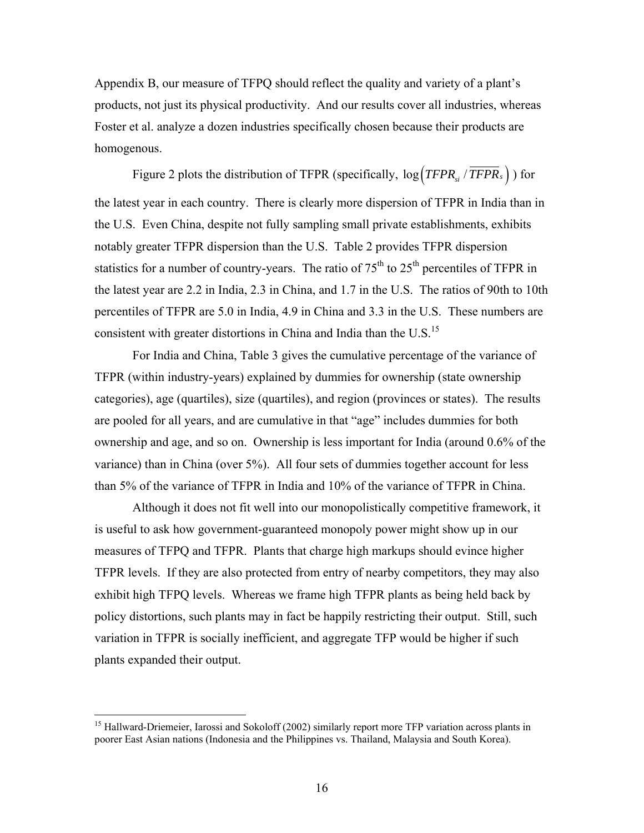Appendix B, our measure of TFPQ should reflect the quality and variety of a plant's products, not just its physical productivity. And our results cover all industries, whereas Foster et al. analyze a dozen industries specifically chosen because their products are homogenous.

Figure 2 plots the distribution of TFPR (specifically,  $\log(TFPR_{si}/\overline{TFPR_s})$ ) for the latest year in each country. There is clearly more dispersion of TFPR in India than in the U.S. Even China, despite not fully sampling small private establishments, exhibits notably greater TFPR dispersion than the U.S. Table 2 provides TFPR dispersion statistics for a number of country-years. The ratio of  $75<sup>th</sup>$  to  $25<sup>th</sup>$  percentiles of TFPR in the latest year are 2.2 in India, 2.3 in China, and 1.7 in the U.S. The ratios of 90th to 10th percentiles of TFPR are 5.0 in India, 4.9 in China and 3.3 in the U.S. These numbers are consistent with greater distortions in China and India than the U.S. $^{15}$ 

For India and China, Table 3 gives the cumulative percentage of the variance of TFPR (within industry-years) explained by dummies for ownership (state ownership categories), age (quartiles), size (quartiles), and region (provinces or states). The results are pooled for all years, and are cumulative in that "age" includes dummies for both ownership and age, and so on. Ownership is less important for India (around 0.6% of the variance) than in China (over 5%). All four sets of dummies together account for less than 5% of the variance of TFPR in India and 10% of the variance of TFPR in China.

Although it does not fit well into our monopolistically competitive framework, it is useful to ask how government-guaranteed monopoly power might show up in our measures of TFPQ and TFPR. Plants that charge high markups should evince higher TFPR levels. If they are also protected from entry of nearby competitors, they may also exhibit high TFPQ levels. Whereas we frame high TFPR plants as being held back by policy distortions, such plants may in fact be happily restricting their output. Still, such variation in TFPR is socially inefficient, and aggregate TFP would be higher if such plants expanded their output.

 $\overline{a}$ 

<sup>&</sup>lt;sup>15</sup> Hallward-Driemeier, Iarossi and Sokoloff (2002) similarly report more TFP variation across plants in poorer East Asian nations (Indonesia and the Philippines vs. Thailand, Malaysia and South Korea).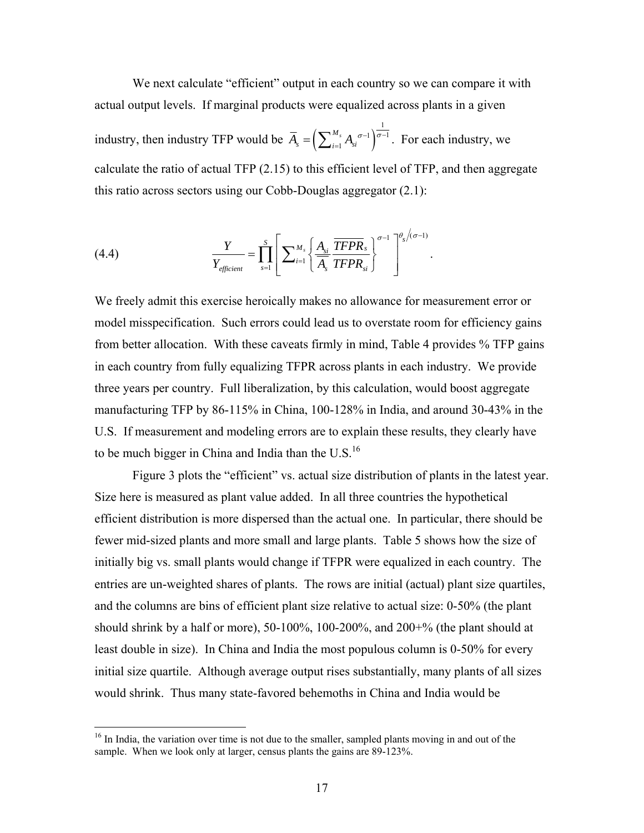We next calculate "efficient" output in each country so we can compare it with actual output levels. If marginal products were equalized across plants in a given

industry, then industry TFP would be  $\overline{A}_s = \left( \sum_{i=1}^{m_s} A_{si}^{\sigma-1} \right)$ 1  $1 \sigma-1$ 1 *Ms*  $\overline{A}_s = \left( \sum_{i=1}^{M_s} A_{si}^{\sigma-1} \right) \sigma^{-1}$ . For each industry, we calculate the ratio of actual TFP (2.15) to this efficient level of TFP, and then aggregate this ratio across sectors using our Cobb-Douglas aggregator (2.1):

(4.4) 
$$
\frac{Y}{Y_{\text{efficient}}} = \prod_{s=1}^{S} \left[ \sum_{i=1}^{M_s} \left\{ \frac{A_{si}}{A_s} \frac{\overline{TFPR}_s}{TFPR_{si}} \right\}^{\sigma-1} \right]^{\theta_s/(\sigma-1)}.
$$

We freely admit this exercise heroically makes no allowance for measurement error or model misspecification. Such errors could lead us to overstate room for efficiency gains from better allocation. With these caveats firmly in mind, Table 4 provides % TFP gains in each country from fully equalizing TFPR across plants in each industry. We provide three years per country. Full liberalization, by this calculation, would boost aggregate manufacturing TFP by 86-115% in China, 100-128% in India, and around 30-43% in the U.S. If measurement and modeling errors are to explain these results, they clearly have to be much bigger in China and India than the U.S. $^{16}$ 

Figure 3 plots the "efficient" vs. actual size distribution of plants in the latest year. Size here is measured as plant value added. In all three countries the hypothetical efficient distribution is more dispersed than the actual one. In particular, there should be fewer mid-sized plants and more small and large plants. Table 5 shows how the size of initially big vs. small plants would change if TFPR were equalized in each country. The entries are un-weighted shares of plants. The rows are initial (actual) plant size quartiles, and the columns are bins of efficient plant size relative to actual size: 0-50% (the plant should shrink by a half or more), 50-100%, 100-200%, and 200+% (the plant should at least double in size). In China and India the most populous column is 0-50% for every initial size quartile. Although average output rises substantially, many plants of all sizes would shrink. Thus many state-favored behemoths in China and India would be

1

<sup>&</sup>lt;sup>16</sup> In India, the variation over time is not due to the smaller, sampled plants moving in and out of the sample. When we look only at larger, census plants the gains are 89-123%.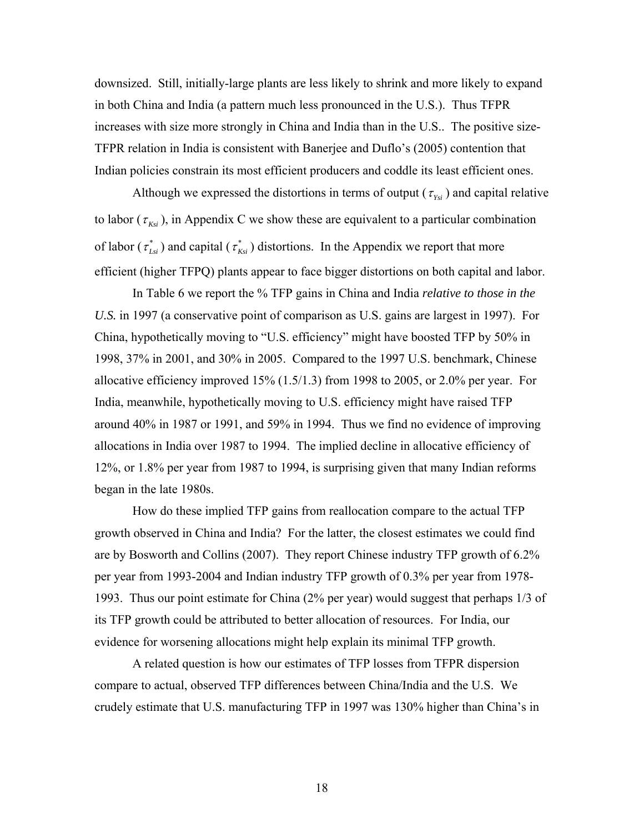downsized. Still, initially-large plants are less likely to shrink and more likely to expand in both China and India (a pattern much less pronounced in the U.S.). Thus TFPR increases with size more strongly in China and India than in the U.S.. The positive size-TFPR relation in India is consistent with Banerjee and Duflo's (2005) contention that Indian policies constrain its most efficient producers and coddle its least efficient ones.

Although we expressed the distortions in terms of output ( $\tau_{\rm yg}$ ) and capital relative to labor  $(\tau_{Ksi})$ , in Appendix C we show these are equivalent to a particular combination of labor ( $\tau_{Lsi}^*$ ) and capital ( $\tau_{Ksi}^*$ ) distortions. In the Appendix we report that more efficient (higher TFPQ) plants appear to face bigger distortions on both capital and labor.

In Table 6 we report the % TFP gains in China and India *relative to those in the U.S.* in 1997 (a conservative point of comparison as U.S. gains are largest in 1997). For China, hypothetically moving to "U.S. efficiency" might have boosted TFP by 50% in 1998, 37% in 2001, and 30% in 2005. Compared to the 1997 U.S. benchmark, Chinese allocative efficiency improved 15% (1.5/1.3) from 1998 to 2005, or 2.0% per year. For India, meanwhile, hypothetically moving to U.S. efficiency might have raised TFP around 40% in 1987 or 1991, and 59% in 1994. Thus we find no evidence of improving allocations in India over 1987 to 1994. The implied decline in allocative efficiency of 12%, or 1.8% per year from 1987 to 1994, is surprising given that many Indian reforms began in the late 1980s.

How do these implied TFP gains from reallocation compare to the actual TFP growth observed in China and India? For the latter, the closest estimates we could find are by Bosworth and Collins (2007). They report Chinese industry TFP growth of 6.2% per year from 1993-2004 and Indian industry TFP growth of 0.3% per year from 1978- 1993. Thus our point estimate for China (2% per year) would suggest that perhaps 1/3 of its TFP growth could be attributed to better allocation of resources. For India, our evidence for worsening allocations might help explain its minimal TFP growth.

A related question is how our estimates of TFP losses from TFPR dispersion compare to actual, observed TFP differences between China/India and the U.S. We crudely estimate that U.S. manufacturing TFP in 1997 was 130% higher than China's in

18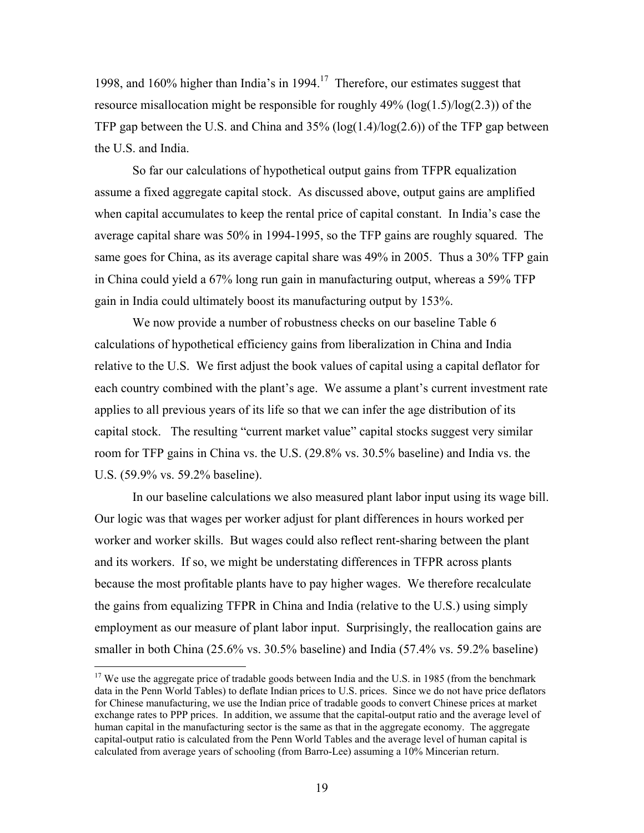1998, and 160% higher than India's in 1994.<sup>17</sup> Therefore, our estimates suggest that resource misallocation might be responsible for roughly  $49\%$  (log(1.5)/log(2.3)) of the TFP gap between the U.S. and China and  $35\%$  (log(1.4)/log(2.6)) of the TFP gap between the U.S. and India.

So far our calculations of hypothetical output gains from TFPR equalization assume a fixed aggregate capital stock. As discussed above, output gains are amplified when capital accumulates to keep the rental price of capital constant. In India's case the average capital share was 50% in 1994-1995, so the TFP gains are roughly squared. The same goes for China, as its average capital share was 49% in 2005. Thus a 30% TFP gain in China could yield a 67% long run gain in manufacturing output, whereas a 59% TFP gain in India could ultimately boost its manufacturing output by 153%.

We now provide a number of robustness checks on our baseline Table 6 calculations of hypothetical efficiency gains from liberalization in China and India relative to the U.S. We first adjust the book values of capital using a capital deflator for each country combined with the plant's age. We assume a plant's current investment rate applies to all previous years of its life so that we can infer the age distribution of its capital stock. The resulting "current market value" capital stocks suggest very similar room for TFP gains in China vs. the U.S. (29.8% vs. 30.5% baseline) and India vs. the U.S. (59.9% vs. 59.2% baseline).

In our baseline calculations we also measured plant labor input using its wage bill. Our logic was that wages per worker adjust for plant differences in hours worked per worker and worker skills. But wages could also reflect rent-sharing between the plant and its workers. If so, we might be understating differences in TFPR across plants because the most profitable plants have to pay higher wages. We therefore recalculate the gains from equalizing TFPR in China and India (relative to the U.S.) using simply employment as our measure of plant labor input. Surprisingly, the reallocation gains are smaller in both China (25.6% vs. 30.5% baseline) and India (57.4% vs. 59.2% baseline)

 $\overline{a}$ 

 $17$  We use the aggregate price of tradable goods between India and the U.S. in 1985 (from the benchmark data in the Penn World Tables) to deflate Indian prices to U.S. prices. Since we do not have price deflators for Chinese manufacturing, we use the Indian price of tradable goods to convert Chinese prices at market exchange rates to PPP prices. In addition, we assume that the capital-output ratio and the average level of human capital in the manufacturing sector is the same as that in the aggregate economy. The aggregate capital-output ratio is calculated from the Penn World Tables and the average level of human capital is calculated from average years of schooling (from Barro-Lee) assuming a 10% Mincerian return.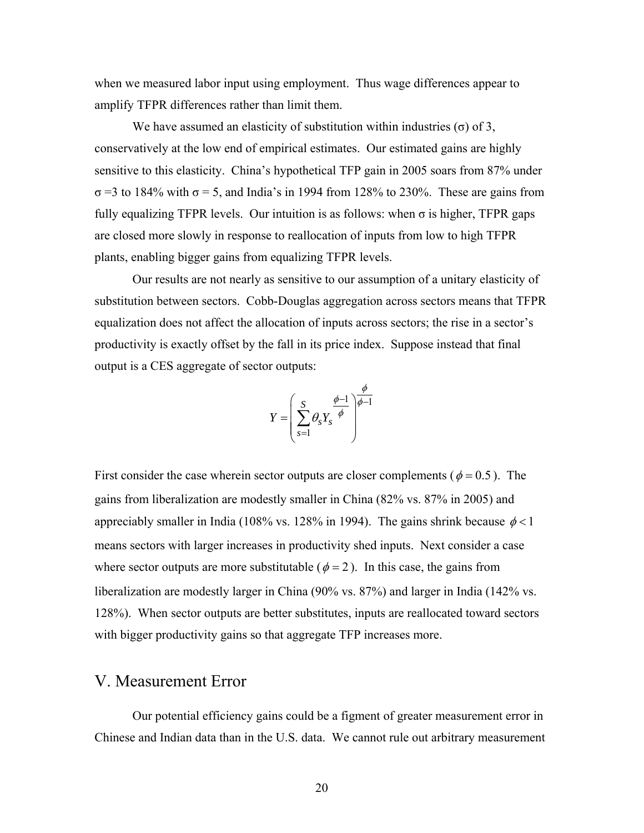when we measured labor input using employment. Thus wage differences appear to amplify TFPR differences rather than limit them.

We have assumed an elasticity of substitution within industries ( $\sigma$ ) of 3, conservatively at the low end of empirical estimates. Our estimated gains are highly sensitive to this elasticity. China's hypothetical TFP gain in 2005 soars from 87% under σ =3 to 184% with σ = 5, and India's in 1994 from 128% to 230%. These are gains from fully equalizing TFPR levels. Our intuition is as follows: when  $\sigma$  is higher, TFPR gaps are closed more slowly in response to reallocation of inputs from low to high TFPR plants, enabling bigger gains from equalizing TFPR levels.

 Our results are not nearly as sensitive to our assumption of a unitary elasticity of substitution between sectors. Cobb-Douglas aggregation across sectors means that TFPR equalization does not affect the allocation of inputs across sectors; the rise in a sector's productivity is exactly offset by the fall in its price index. Suppose instead that final output is a CES aggregate of sector outputs:

$$
Y = \left(\sum_{s=1}^{S} \theta_s Y_s^{\frac{\phi-1}{\phi}}\right)^{\frac{\phi}{\phi-1}}
$$

First consider the case wherein sector outputs are closer complements ( $\phi = 0.5$ ). The gains from liberalization are modestly smaller in China (82% vs. 87% in 2005) and appreciably smaller in India (108% vs. 128% in 1994). The gains shrink because  $\phi$  < 1 means sectors with larger increases in productivity shed inputs. Next consider a case where sector outputs are more substitutable ( $\phi = 2$ ). In this case, the gains from liberalization are modestly larger in China (90% vs. 87%) and larger in India (142% vs. 128%). When sector outputs are better substitutes, inputs are reallocated toward sectors with bigger productivity gains so that aggregate TFP increases more.

#### V. Measurement Error

 Our potential efficiency gains could be a figment of greater measurement error in Chinese and Indian data than in the U.S. data. We cannot rule out arbitrary measurement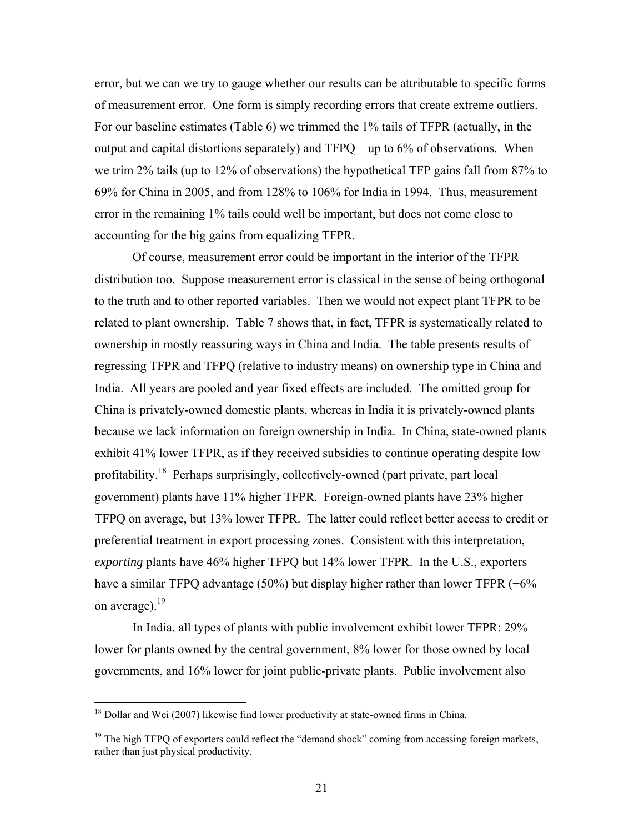error, but we can we try to gauge whether our results can be attributable to specific forms of measurement error. One form is simply recording errors that create extreme outliers. For our baseline estimates (Table 6) we trimmed the 1% tails of TFPR (actually, in the output and capital distortions separately) and TFPQ – up to 6% of observations. When we trim 2% tails (up to 12% of observations) the hypothetical TFP gains fall from 87% to 69% for China in 2005, and from 128% to 106% for India in 1994. Thus, measurement error in the remaining 1% tails could well be important, but does not come close to accounting for the big gains from equalizing TFPR.

Of course, measurement error could be important in the interior of the TFPR distribution too. Suppose measurement error is classical in the sense of being orthogonal to the truth and to other reported variables. Then we would not expect plant TFPR to be related to plant ownership. Table 7 shows that, in fact, TFPR is systematically related to ownership in mostly reassuring ways in China and India. The table presents results of regressing TFPR and TFPQ (relative to industry means) on ownership type in China and India. All years are pooled and year fixed effects are included. The omitted group for China is privately-owned domestic plants, whereas in India it is privately-owned plants because we lack information on foreign ownership in India. In China, state-owned plants exhibit 41% lower TFPR, as if they received subsidies to continue operating despite low profitability.<sup>18</sup> Perhaps surprisingly, collectively-owned (part private, part local government) plants have 11% higher TFPR. Foreign-owned plants have 23% higher TFPQ on average, but 13% lower TFPR. The latter could reflect better access to credit or preferential treatment in export processing zones. Consistent with this interpretation, *exporting* plants have 46% higher TFPQ but 14% lower TFPR. In the U.S., exporters have a similar TFPQ advantage (50%) but display higher rather than lower TFPR (+6% on average).<sup>19</sup>

In India, all types of plants with public involvement exhibit lower TFPR: 29% lower for plants owned by the central government, 8% lower for those owned by local governments, and 16% lower for joint public-private plants. Public involvement also

<u>.</u>

 $18$  Dollar and Wei (2007) likewise find lower productivity at state-owned firms in China.

 $19$  The high TFPQ of exporters could reflect the "demand shock" coming from accessing foreign markets, rather than just physical productivity.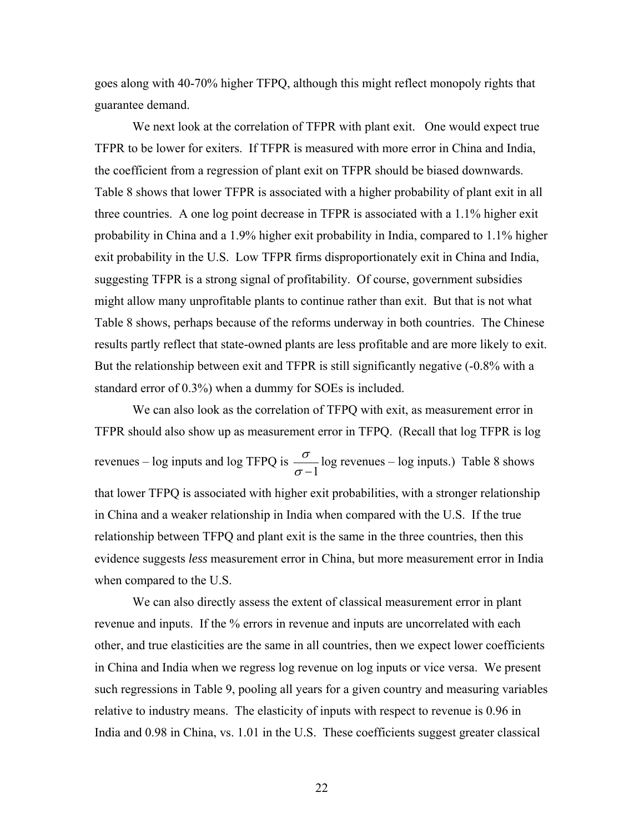goes along with 40-70% higher TFPQ, although this might reflect monopoly rights that guarantee demand.

We next look at the correlation of TFPR with plant exit. One would expect true TFPR to be lower for exiters. If TFPR is measured with more error in China and India, the coefficient from a regression of plant exit on TFPR should be biased downwards. Table 8 shows that lower TFPR is associated with a higher probability of plant exit in all three countries. A one log point decrease in TFPR is associated with a 1.1% higher exit probability in China and a 1.9% higher exit probability in India, compared to 1.1% higher exit probability in the U.S. Low TFPR firms disproportionately exit in China and India, suggesting TFPR is a strong signal of profitability. Of course, government subsidies might allow many unprofitable plants to continue rather than exit. But that is not what Table 8 shows, perhaps because of the reforms underway in both countries. The Chinese results partly reflect that state-owned plants are less profitable and are more likely to exit. But the relationship between exit and TFPR is still significantly negative (-0.8% with a standard error of 0.3%) when a dummy for SOEs is included.

We can also look as the correlation of TFPQ with exit, as measurement error in TFPR should also show up as measurement error in TFPQ. (Recall that log TFPR is log revenues – log inputs and log TFPQ is  $\frac{\sigma}{\sigma - 1}$  log revenues – log inputs.) Table 8 shows that lower TFPQ is associated with higher exit probabilities, with a stronger relationship in China and a weaker relationship in India when compared with the U.S. If the true relationship between TFPQ and plant exit is the same in the three countries, then this evidence suggests *less* measurement error in China, but more measurement error in India when compared to the U.S.

We can also directly assess the extent of classical measurement error in plant revenue and inputs. If the % errors in revenue and inputs are uncorrelated with each other, and true elasticities are the same in all countries, then we expect lower coefficients in China and India when we regress log revenue on log inputs or vice versa. We present such regressions in Table 9, pooling all years for a given country and measuring variables relative to industry means. The elasticity of inputs with respect to revenue is 0.96 in India and 0.98 in China, vs. 1.01 in the U.S. These coefficients suggest greater classical

22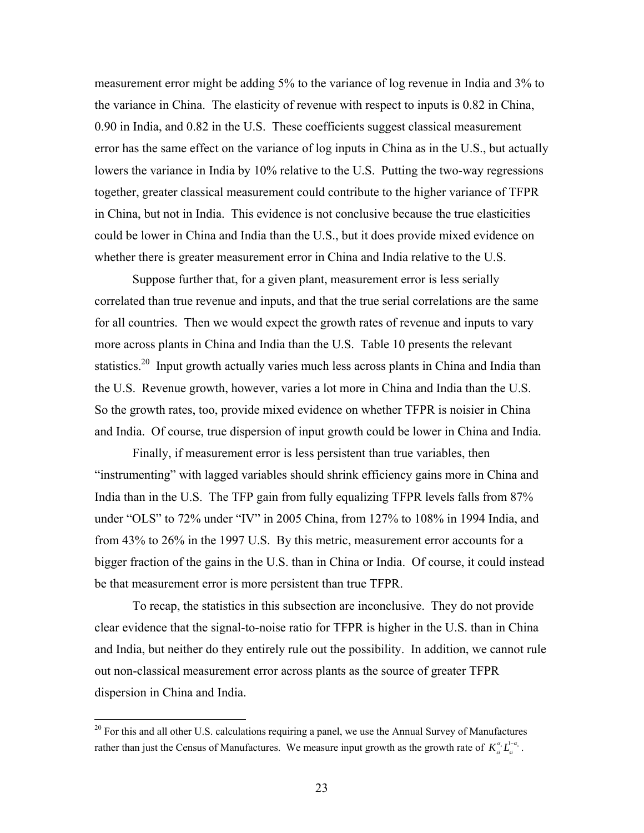measurement error might be adding 5% to the variance of log revenue in India and 3% to the variance in China. The elasticity of revenue with respect to inputs is 0.82 in China, 0.90 in India, and 0.82 in the U.S. These coefficients suggest classical measurement error has the same effect on the variance of log inputs in China as in the U.S., but actually lowers the variance in India by 10% relative to the U.S. Putting the two-way regressions together, greater classical measurement could contribute to the higher variance of TFPR in China, but not in India. This evidence is not conclusive because the true elasticities could be lower in China and India than the U.S., but it does provide mixed evidence on whether there is greater measurement error in China and India relative to the U.S.

Suppose further that, for a given plant, measurement error is less serially correlated than true revenue and inputs, and that the true serial correlations are the same for all countries. Then we would expect the growth rates of revenue and inputs to vary more across plants in China and India than the U.S. Table 10 presents the relevant statistics.<sup>20</sup> Input growth actually varies much less across plants in China and India than the U.S. Revenue growth, however, varies a lot more in China and India than the U.S. So the growth rates, too, provide mixed evidence on whether TFPR is noisier in China and India. Of course, true dispersion of input growth could be lower in China and India.

Finally, if measurement error is less persistent than true variables, then "instrumenting" with lagged variables should shrink efficiency gains more in China and India than in the U.S. The TFP gain from fully equalizing TFPR levels falls from 87% under "OLS" to 72% under "IV" in 2005 China, from 127% to 108% in 1994 India, and from 43% to 26% in the 1997 U.S. By this metric, measurement error accounts for a bigger fraction of the gains in the U.S. than in China or India. Of course, it could instead be that measurement error is more persistent than true TFPR.

To recap, the statistics in this subsection are inconclusive. They do not provide clear evidence that the signal-to-noise ratio for TFPR is higher in the U.S. than in China and India, but neither do they entirely rule out the possibility. In addition, we cannot rule out non-classical measurement error across plants as the source of greater TFPR dispersion in China and India.

 $\overline{a}$ 

 $20$  For this and all other U.S. calculations requiring a panel, we use the Annual Survey of Manufactures rather than just the Census of Manufactures. We measure input growth as the growth rate of  $K_{si}^{\alpha} L_{si}^{[-\alpha]}$ .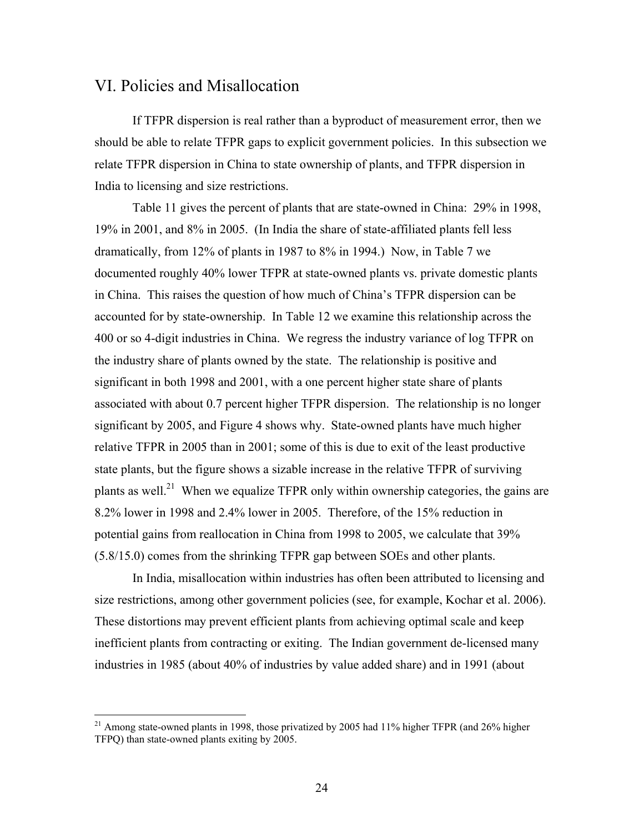### VI. Policies and Misallocation

 If TFPR dispersion is real rather than a byproduct of measurement error, then we should be able to relate TFPR gaps to explicit government policies. In this subsection we relate TFPR dispersion in China to state ownership of plants, and TFPR dispersion in India to licensing and size restrictions.

Table 11 gives the percent of plants that are state-owned in China: 29% in 1998, 19% in 2001, and 8% in 2005. (In India the share of state-affiliated plants fell less dramatically, from 12% of plants in 1987 to 8% in 1994.) Now, in Table 7 we documented roughly 40% lower TFPR at state-owned plants vs. private domestic plants in China. This raises the question of how much of China's TFPR dispersion can be accounted for by state-ownership. In Table 12 we examine this relationship across the 400 or so 4-digit industries in China. We regress the industry variance of log TFPR on the industry share of plants owned by the state. The relationship is positive and significant in both 1998 and 2001, with a one percent higher state share of plants associated with about 0.7 percent higher TFPR dispersion. The relationship is no longer significant by 2005, and Figure 4 shows why. State-owned plants have much higher relative TFPR in 2005 than in 2001; some of this is due to exit of the least productive state plants, but the figure shows a sizable increase in the relative TFPR of surviving plants as well.<sup>21</sup> When we equalize TFPR only within ownership categories, the gains are 8.2% lower in 1998 and 2.4% lower in 2005. Therefore, of the 15% reduction in potential gains from reallocation in China from 1998 to 2005, we calculate that 39% (5.8/15.0) comes from the shrinking TFPR gap between SOEs and other plants.

In India, misallocation within industries has often been attributed to licensing and size restrictions, among other government policies (see, for example, Kochar et al. 2006). These distortions may prevent efficient plants from achieving optimal scale and keep inefficient plants from contracting or exiting. The Indian government de-licensed many industries in 1985 (about 40% of industries by value added share) and in 1991 (about

 $\overline{a}$ 

<sup>&</sup>lt;sup>21</sup> Among state-owned plants in 1998, those privatized by 2005 had 11% higher TFPR (and 26% higher TFPQ) than state-owned plants exiting by 2005.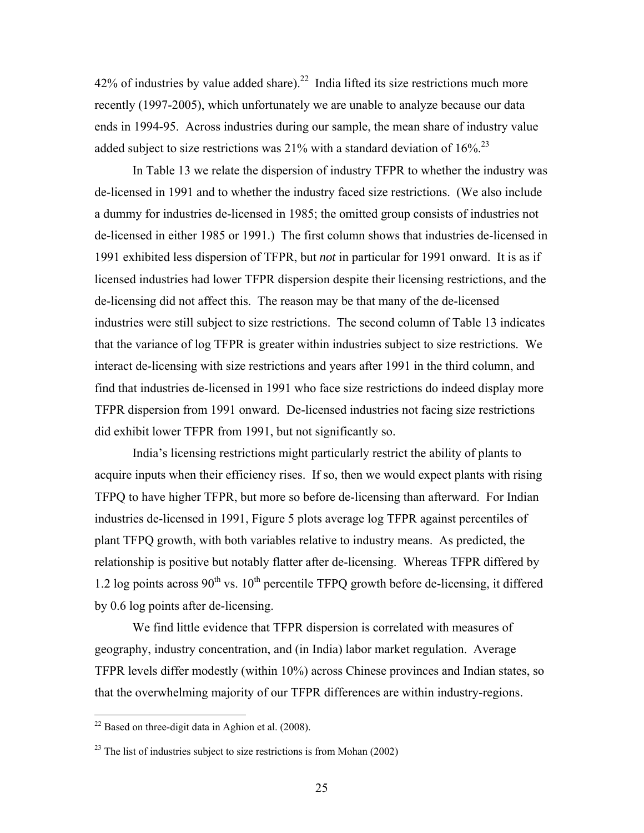42% of industries by value added share).<sup>22</sup> India lifted its size restrictions much more recently (1997-2005), which unfortunately we are unable to analyze because our data ends in 1994-95. Across industries during our sample, the mean share of industry value added subject to size restrictions was  $21\%$  with a standard deviation of  $16\%$ <sup>23</sup>

In Table 13 we relate the dispersion of industry TFPR to whether the industry was de-licensed in 1991 and to whether the industry faced size restrictions. (We also include a dummy for industries de-licensed in 1985; the omitted group consists of industries not de-licensed in either 1985 or 1991.) The first column shows that industries de-licensed in 1991 exhibited less dispersion of TFPR, but *not* in particular for 1991 onward. It is as if licensed industries had lower TFPR dispersion despite their licensing restrictions, and the de-licensing did not affect this. The reason may be that many of the de-licensed industries were still subject to size restrictions. The second column of Table 13 indicates that the variance of log TFPR is greater within industries subject to size restrictions. We interact de-licensing with size restrictions and years after 1991 in the third column, and find that industries de-licensed in 1991 who face size restrictions do indeed display more TFPR dispersion from 1991 onward. De-licensed industries not facing size restrictions did exhibit lower TFPR from 1991, but not significantly so.

India's licensing restrictions might particularly restrict the ability of plants to acquire inputs when their efficiency rises. If so, then we would expect plants with rising TFPQ to have higher TFPR, but more so before de-licensing than afterward. For Indian industries de-licensed in 1991, Figure 5 plots average log TFPR against percentiles of plant TFPQ growth, with both variables relative to industry means. As predicted, the relationship is positive but notably flatter after de-licensing. Whereas TFPR differed by 1.2 log points across  $90^{th}$  vs.  $10^{th}$  percentile TFPO growth before de-licensing, it differed by 0.6 log points after de-licensing.

We find little evidence that TFPR dispersion is correlated with measures of geography, industry concentration, and (in India) labor market regulation. Average TFPR levels differ modestly (within 10%) across Chinese provinces and Indian states, so that the overwhelming majority of our TFPR differences are within industry-regions.

1

 $22$  Based on three-digit data in Aghion et al. (2008).

<sup>&</sup>lt;sup>23</sup> The list of industries subject to size restrictions is from Mohan (2002)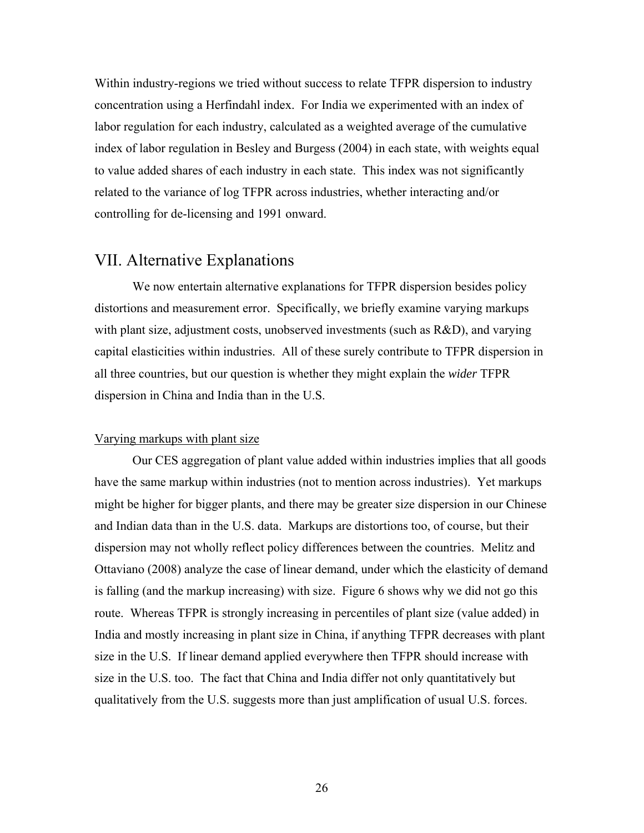Within industry-regions we tried without success to relate TFPR dispersion to industry concentration using a Herfindahl index. For India we experimented with an index of labor regulation for each industry, calculated as a weighted average of the cumulative index of labor regulation in Besley and Burgess (2004) in each state, with weights equal to value added shares of each industry in each state. This index was not significantly related to the variance of log TFPR across industries, whether interacting and/or controlling for de-licensing and 1991 onward.

#### VII. Alternative Explanations

 We now entertain alternative explanations for TFPR dispersion besides policy distortions and measurement error. Specifically, we briefly examine varying markups with plant size, adjustment costs, unobserved investments (such as R&D), and varying capital elasticities within industries. All of these surely contribute to TFPR dispersion in all three countries, but our question is whether they might explain the *wider* TFPR dispersion in China and India than in the U.S.

#### Varying markups with plant size

 Our CES aggregation of plant value added within industries implies that all goods have the same markup within industries (not to mention across industries). Yet markups might be higher for bigger plants, and there may be greater size dispersion in our Chinese and Indian data than in the U.S. data. Markups are distortions too, of course, but their dispersion may not wholly reflect policy differences between the countries. Melitz and Ottaviano (2008) analyze the case of linear demand, under which the elasticity of demand is falling (and the markup increasing) with size. Figure 6 shows why we did not go this route. Whereas TFPR is strongly increasing in percentiles of plant size (value added) in India and mostly increasing in plant size in China, if anything TFPR decreases with plant size in the U.S. If linear demand applied everywhere then TFPR should increase with size in the U.S. too. The fact that China and India differ not only quantitatively but qualitatively from the U.S. suggests more than just amplification of usual U.S. forces.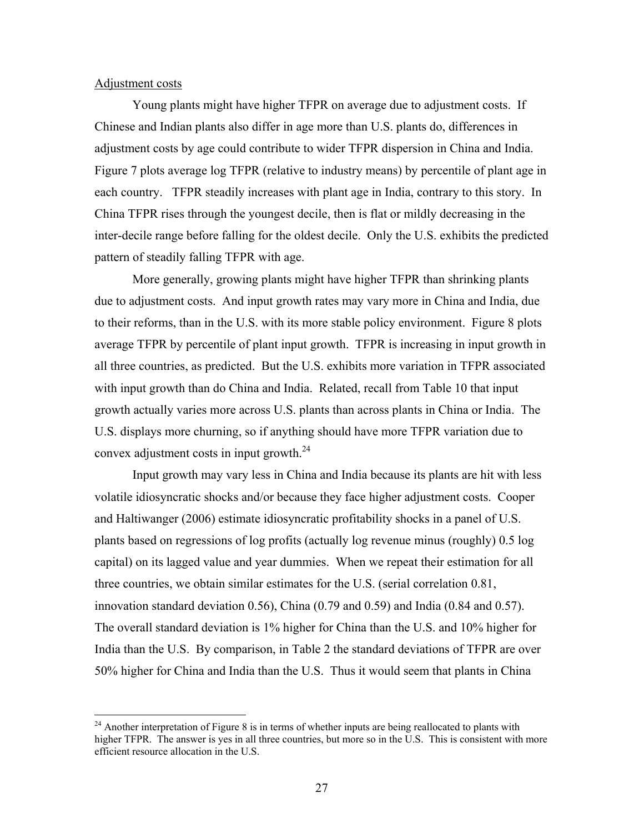#### Adjustment costs

 $\overline{a}$ 

 Young plants might have higher TFPR on average due to adjustment costs. If Chinese and Indian plants also differ in age more than U.S. plants do, differences in adjustment costs by age could contribute to wider TFPR dispersion in China and India. Figure 7 plots average log TFPR (relative to industry means) by percentile of plant age in each country. TFPR steadily increases with plant age in India, contrary to this story. In China TFPR rises through the youngest decile, then is flat or mildly decreasing in the inter-decile range before falling for the oldest decile. Only the U.S. exhibits the predicted pattern of steadily falling TFPR with age.

More generally, growing plants might have higher TFPR than shrinking plants due to adjustment costs. And input growth rates may vary more in China and India, due to their reforms, than in the U.S. with its more stable policy environment. Figure 8 plots average TFPR by percentile of plant input growth. TFPR is increasing in input growth in all three countries, as predicted. But the U.S. exhibits more variation in TFPR associated with input growth than do China and India. Related, recall from Table 10 that input growth actually varies more across U.S. plants than across plants in China or India. The U.S. displays more churning, so if anything should have more TFPR variation due to convex adjustment costs in input growth.<sup>24</sup>

Input growth may vary less in China and India because its plants are hit with less volatile idiosyncratic shocks and/or because they face higher adjustment costs. Cooper and Haltiwanger (2006) estimate idiosyncratic profitability shocks in a panel of U.S. plants based on regressions of log profits (actually log revenue minus (roughly) 0.5 log capital) on its lagged value and year dummies. When we repeat their estimation for all three countries, we obtain similar estimates for the U.S. (serial correlation 0.81, innovation standard deviation 0.56), China (0.79 and 0.59) and India (0.84 and 0.57). The overall standard deviation is 1% higher for China than the U.S. and 10% higher for India than the U.S. By comparison, in Table 2 the standard deviations of TFPR are over 50% higher for China and India than the U.S. Thus it would seem that plants in China

<sup>&</sup>lt;sup>24</sup> Another interpretation of Figure 8 is in terms of whether inputs are being reallocated to plants with higher TFPR. The answer is yes in all three countries, but more so in the U.S. This is consistent with more efficient resource allocation in the U.S.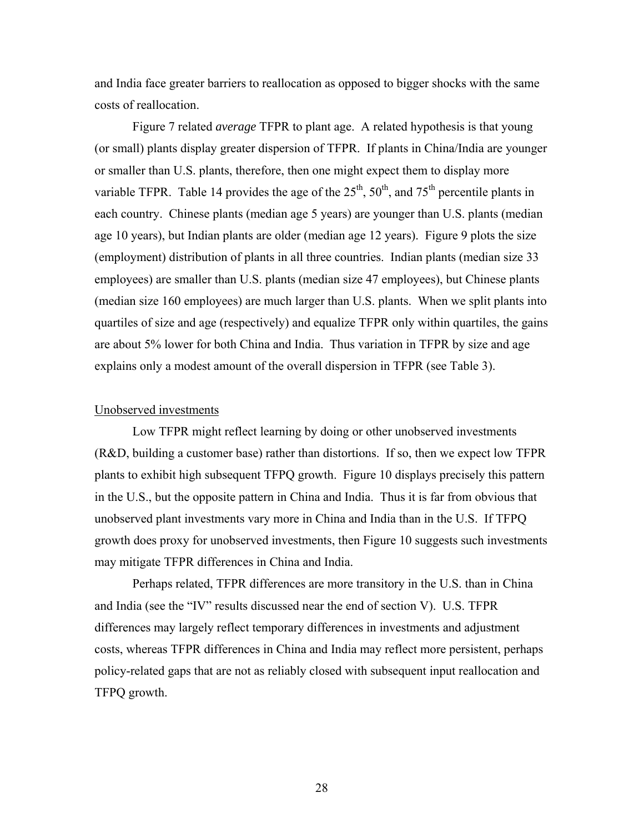and India face greater barriers to reallocation as opposed to bigger shocks with the same costs of reallocation.

Figure 7 related *average* TFPR to plant age. A related hypothesis is that young (or small) plants display greater dispersion of TFPR. If plants in China/India are younger or smaller than U.S. plants, therefore, then one might expect them to display more variable TFPR. Table 14 provides the age of the  $25<sup>th</sup>$ ,  $50<sup>th</sup>$ , and  $75<sup>th</sup>$  percentile plants in each country. Chinese plants (median age 5 years) are younger than U.S. plants (median age 10 years), but Indian plants are older (median age 12 years). Figure 9 plots the size (employment) distribution of plants in all three countries. Indian plants (median size 33 employees) are smaller than U.S. plants (median size 47 employees), but Chinese plants (median size 160 employees) are much larger than U.S. plants. When we split plants into quartiles of size and age (respectively) and equalize TFPR only within quartiles, the gains are about 5% lower for both China and India. Thus variation in TFPR by size and age explains only a modest amount of the overall dispersion in TFPR (see Table 3).

#### Unobserved investments

 Low TFPR might reflect learning by doing or other unobserved investments (R&D, building a customer base) rather than distortions. If so, then we expect low TFPR plants to exhibit high subsequent TFPQ growth. Figure 10 displays precisely this pattern in the U.S., but the opposite pattern in China and India. Thus it is far from obvious that unobserved plant investments vary more in China and India than in the U.S. If TFPQ growth does proxy for unobserved investments, then Figure 10 suggests such investments may mitigate TFPR differences in China and India.

Perhaps related, TFPR differences are more transitory in the U.S. than in China and India (see the "IV" results discussed near the end of section V). U.S. TFPR differences may largely reflect temporary differences in investments and adjustment costs, whereas TFPR differences in China and India may reflect more persistent, perhaps policy-related gaps that are not as reliably closed with subsequent input reallocation and TFPQ growth.

28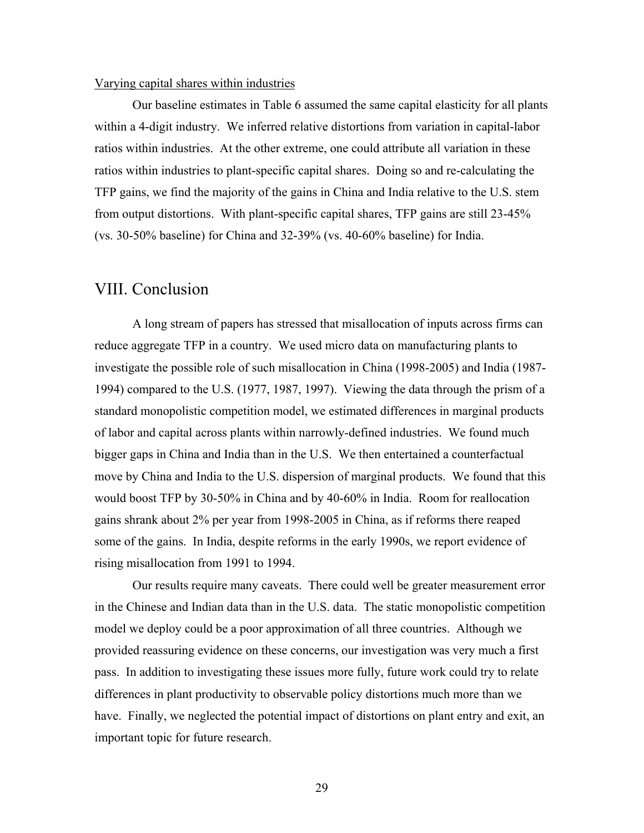#### Varying capital shares within industries

Our baseline estimates in Table 6 assumed the same capital elasticity for all plants within a 4-digit industry. We inferred relative distortions from variation in capital-labor ratios within industries. At the other extreme, one could attribute all variation in these ratios within industries to plant-specific capital shares. Doing so and re-calculating the TFP gains, we find the majority of the gains in China and India relative to the U.S. stem from output distortions. With plant-specific capital shares, TFP gains are still 23-45% (vs. 30-50% baseline) for China and 32-39% (vs. 40-60% baseline) for India.

#### VIII. Conclusion

A long stream of papers has stressed that misallocation of inputs across firms can reduce aggregate TFP in a country. We used micro data on manufacturing plants to investigate the possible role of such misallocation in China (1998-2005) and India (1987- 1994) compared to the U.S. (1977, 1987, 1997). Viewing the data through the prism of a standard monopolistic competition model, we estimated differences in marginal products of labor and capital across plants within narrowly-defined industries. We found much bigger gaps in China and India than in the U.S. We then entertained a counterfactual move by China and India to the U.S. dispersion of marginal products. We found that this would boost TFP by 30-50% in China and by 40-60% in India. Room for reallocation gains shrank about 2% per year from 1998-2005 in China, as if reforms there reaped some of the gains. In India, despite reforms in the early 1990s, we report evidence of rising misallocation from 1991 to 1994.

Our results require many caveats. There could well be greater measurement error in the Chinese and Indian data than in the U.S. data. The static monopolistic competition model we deploy could be a poor approximation of all three countries. Although we provided reassuring evidence on these concerns, our investigation was very much a first pass. In addition to investigating these issues more fully, future work could try to relate differences in plant productivity to observable policy distortions much more than we have. Finally, we neglected the potential impact of distortions on plant entry and exit, an important topic for future research.

29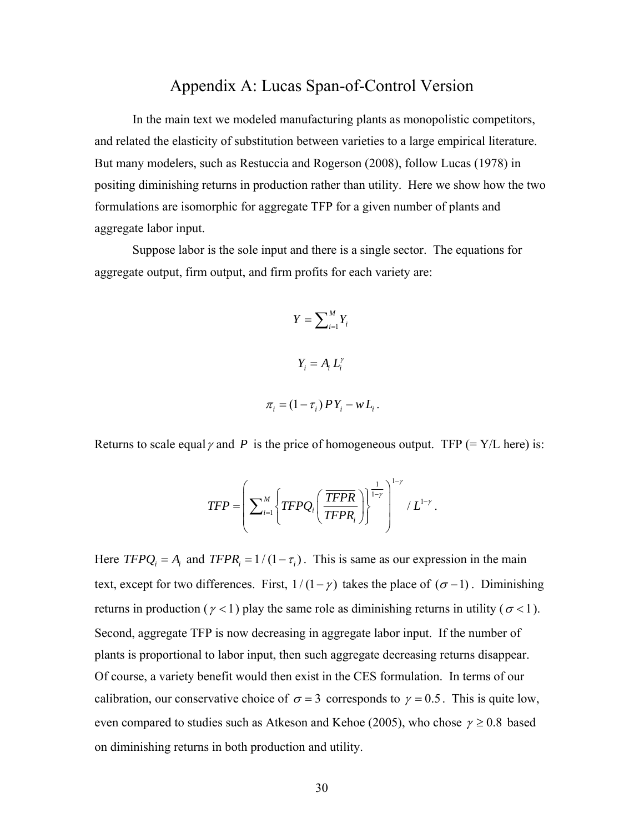### Appendix A: Lucas Span-of-Control Version

In the main text we modeled manufacturing plants as monopolistic competitors, and related the elasticity of substitution between varieties to a large empirical literature. But many modelers, such as Restuccia and Rogerson (2008), follow Lucas (1978) in positing diminishing returns in production rather than utility. Here we show how the two formulations are isomorphic for aggregate TFP for a given number of plants and aggregate labor input.

Suppose labor is the sole input and there is a single sector. The equations for aggregate output, firm output, and firm profits for each variety are:

$$
Y = \sum_{i=1}^{M} Y_i
$$

$$
Y_i = A_i L_i^{\gamma}
$$

$$
\pi_i = (1 - \tau_i) P Y_i - w L_i.
$$

Returns to scale equal  $\gamma$  and  $P$  is the price of homogeneous output. TFP (= Y/L here) is:

$$
TFP = \left(\sum_{i=1}^{M} \left\{ TFPQ_i \left( \frac{\overline{TFPR}}{TFPR_i} \right) \right\}^{\frac{1}{1-\gamma}} \right)^{1-\gamma} / L^{1-\gamma} .
$$

Here  $TFPQ_i = A_i$  and  $TFPR_i = 1/(1 - \tau_i)$ . This is same as our expression in the main text, except for two differences. First,  $1/(1 - \gamma)$  takes the place of  $(\sigma - 1)$ . Diminishing returns in production ( $\gamma$  < 1) play the same role as diminishing returns in utility ( $\sigma$  < 1). Second, aggregate TFP is now decreasing in aggregate labor input. If the number of plants is proportional to labor input, then such aggregate decreasing returns disappear. Of course, a variety benefit would then exist in the CES formulation. In terms of our calibration, our conservative choice of  $\sigma = 3$  corresponds to  $\gamma = 0.5$ . This is quite low, even compared to studies such as Atkeson and Kehoe (2005), who chose  $\gamma \ge 0.8$  based on diminishing returns in both production and utility.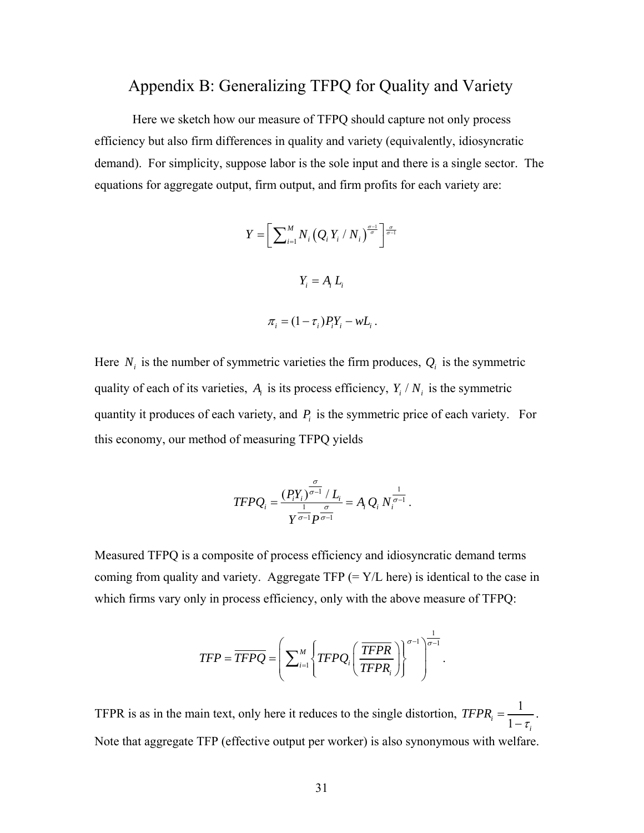#### Appendix B: Generalizing TFPQ for Quality and Variety

Here we sketch how our measure of TFPQ should capture not only process efficiency but also firm differences in quality and variety (equivalently, idiosyncratic demand). For simplicity, suppose labor is the sole input and there is a single sector. The equations for aggregate output, firm output, and firm profits for each variety are:

$$
Y = \left[\sum_{i=1}^{M} N_i \left(Q_i Y_i / N_i\right)^{\frac{\sigma-1}{\sigma}}\right]^{\frac{\sigma}{\sigma-1}}
$$

$$
Y_i = A_i L_i
$$

$$
\pi_i = (1 - \tau_i) P_i Y_i - w_i.
$$

Here  $N_i$  is the number of symmetric varieties the firm produces,  $Q_i$  is the symmetric quality of each of its varieties,  $A_i$  is its process efficiency,  $Y_i/N_i$  is the symmetric quantity it produces of each variety, and  $P_i$  is the symmetric price of each variety. For this economy, our method of measuring TFPQ yields

$$
TFPQ_i = \frac{(P_iY_i)^{\frac{\sigma}{\sigma-1}}/L_i}{Y^{\frac{1}{\sigma-1}}P^{\frac{\sigma}{\sigma-1}}} = A_i Q_i N_i^{\frac{1}{\sigma-1}}.
$$

Measured TFPQ is a composite of process efficiency and idiosyncratic demand terms coming from quality and variety. Aggregate TFP  $(= Y/L)$  here) is identical to the case in which firms vary only in process efficiency, only with the above measure of TFPQ:

$$
TFP = \overline{TFPQ} = \left(\sum_{i=1}^{M} \left\{ TFPQ_i \left( \frac{\overline{TFPR}}{TFPR_i} \right) \right\}^{\sigma-1} \right)^{\frac{1}{\sigma-1}}.
$$

TFPR is as in the main text, only here it reduces to the single distortion,  $TFPR_i = \frac{1}{1-\epsilon}$  $i - 1 - \tau_i$  $TFPR_i = \frac{1}{1 - \tau_i}$ . Note that aggregate TFP (effective output per worker) is also synonymous with welfare.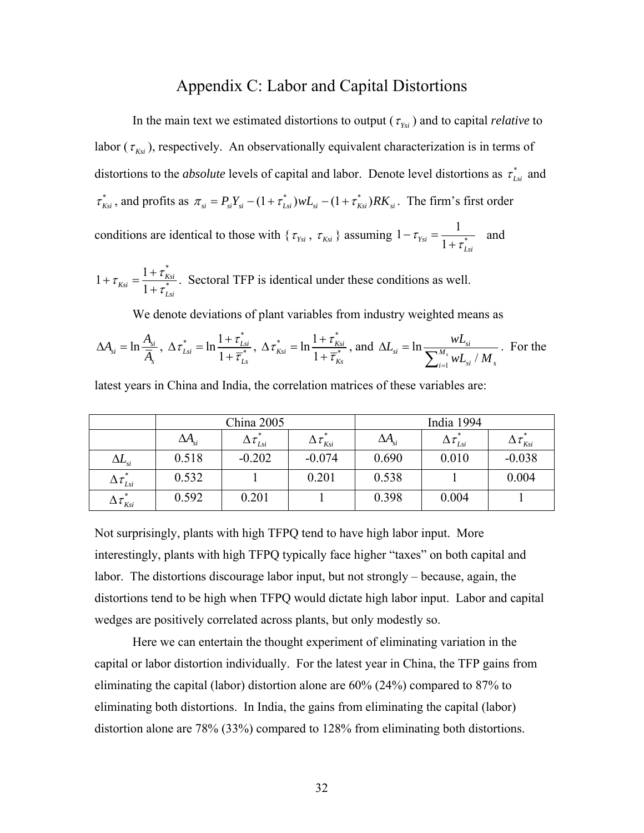#### Appendix C: Labor and Capital Distortions

In the main text we estimated distortions to output ( $\tau_{\gamma_{si}}$ ) and to capital *relative* to labor ( $\tau_{Ksi}$ ), respectively. An observationally equivalent characterization is in terms of distortions to the *absolute* levels of capital and labor. Denote level distortions as  $\tau_{Lsi}^*$  and  $\tau_{Ksi}^*$ , and profits as  $\tau_{si} = P_{si} Y_{si} - (1 + \tau_{Lsi}^*) w L_{si} - (1 + \tau_{Ksi}^*) R K_{si}$ . The firm's first order conditions are identical to those with  $\{\tau_{\chi_{si}}\}$ ,  $\tau_{\chi_{si}}\}$  assuming  $1 - \tau_{\chi_{si}} = \frac{1}{1 + \tau_{\chi_{si}}}$  $Y_{s i}$ <sup>+</sup>  $1 + \tau_{L s i}^*$  $-\tau_{\gamma_{si}} = \frac{1}{1 + \tau_{\gamma_{si}}^*}$  and

\*  $1 + \tau_{Ksi} = \frac{1 + \tau_K^*}{1 + \tau^*}$ 1  $Ksi = \frac{1 + k Ksi}{1 + k}$ *Lsi*  $\tau_{\nu} = \frac{1+\tau}{\tau}$ τ +  $\tau_{\kappa s i} = \frac{1+}{1}$ + . Sectoral TFP is identical under these conditions as well.

We denote deviations of plant variables from industry weighted means as

$$
\Delta A_{si} = \ln \frac{A_{si}}{\bar{A}_s}, \ \Delta \tau_{Lsi}^* = \ln \frac{1 + \tau_{Lsi}^*}{1 + \overline{\tau}_{Ls}^*}, \ \Delta \tau_{Ksi}^* = \ln \frac{1 + \tau_{Ksi}^*}{1 + \overline{\tau}_{Ks}^*}, \text{ and } \ \Delta L_{si} = \ln \frac{w L_{si}}{\sum_{i=1}^{M_s} w L_{si} / M_s}.
$$
 For the

latest years in China and India, the correlation matrices of these variables are:

|                                          | China 2005                              |                            | India 1994          |                                      |                          |                                            |
|------------------------------------------|-----------------------------------------|----------------------------|---------------------|--------------------------------------|--------------------------|--------------------------------------------|
|                                          | $\Delta\!A_{\!si}^{\vphantom{\dagger}}$ | $\Delta\, {\tau}_{Lsi}^{}$ | $\Delta \tau_{Ksi}$ | $\Delta\!A_{\scriptscriptstyle{si}}$ | $\Delta\, \tau_{_{Lsi}}$ | $\Delta \tau_{\rm \scriptscriptstyle Ksi}$ |
| $\Delta\!_{_{si}}$                       | 0.518                                   | $-0.202$                   | $-0.074$            | 0.690                                | 0.010                    | $-0.038$                                   |
| $\Delta\tau_{Lsi}^{'}$                   | 0.532                                   |                            | 0.201               | 0.538                                |                          | 0.004                                      |
| $\Delta\,\tau_{\rm Ksi}^{^{\mathrm{v}}}$ | 0.592                                   | 0.201                      |                     | 0.398                                | 0.004                    |                                            |

Not surprisingly, plants with high TFPQ tend to have high labor input. More interestingly, plants with high TFPQ typically face higher "taxes" on both capital and labor. The distortions discourage labor input, but not strongly – because, again, the distortions tend to be high when TFPQ would dictate high labor input. Labor and capital wedges are positively correlated across plants, but only modestly so.

Here we can entertain the thought experiment of eliminating variation in the capital or labor distortion individually. For the latest year in China, the TFP gains from eliminating the capital (labor) distortion alone are 60% (24%) compared to 87% to eliminating both distortions. In India, the gains from eliminating the capital (labor) distortion alone are 78% (33%) compared to 128% from eliminating both distortions.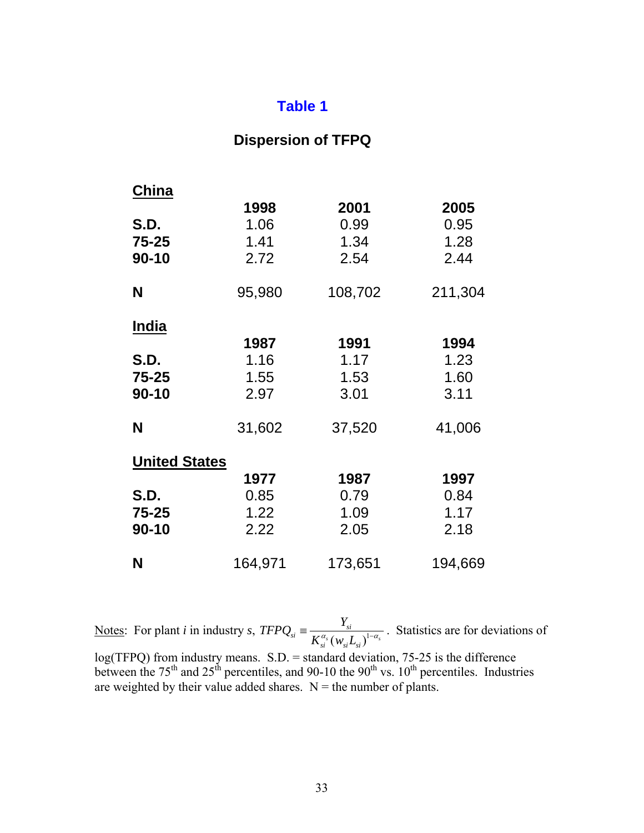### **Dispersion of TFPQ**

| China                                              |                              |                              |                              |
|----------------------------------------------------|------------------------------|------------------------------|------------------------------|
| S.D.<br>75-25<br>$90 - 10$                         | 1998<br>1.06<br>1.41<br>2.72 | 2001<br>0.99<br>1.34<br>2.54 | 2005<br>0.95<br>1.28<br>2.44 |
| N                                                  | 95,980                       | 108,702                      | 211,304                      |
| <b>India</b><br>S.D.<br>75-25<br>$90 - 10$         | 1987<br>1.16<br>1.55<br>2.97 | 1991<br>1.17<br>1.53<br>3.01 | 1994<br>1.23<br>1.60<br>3.11 |
| N                                                  | 31,602                       | 37,520                       | 41,006                       |
| <b>United States</b><br>S.D.<br>75-25<br>$90 - 10$ | 1977<br>0.85<br>1.22<br>2.22 | 1987<br>0.79<br>1.09<br>2.05 | 1997<br>0.84<br>1.17<br>2.18 |
| N                                                  | 164,971                      | 173,651                      | 194,669                      |

Notes: For plant *i* in industry *s*,  $TFPQ_{si} \equiv \frac{I_{si}}{K_{si}^{\alpha_s}(w_{si}L_{si})^{1-\alpha_s}}$  $TFPQ_{si} \equiv \frac{Y_{si}}{K_{si}^{\alpha_s}(w_{si}L_{si})^{1-\alpha_s}}$ . Statistics are for deviations of log(TFPQ) from industry means. S.D. = standard deviation, 75-25 is the difference between the 75<sup>th</sup> and 25<sup>th</sup> percentiles, and 90-10 the 90<sup>th</sup> vs. 10<sup>th</sup> percentiles. Industries are weighted by their value added shares.  $N =$  the number of plants.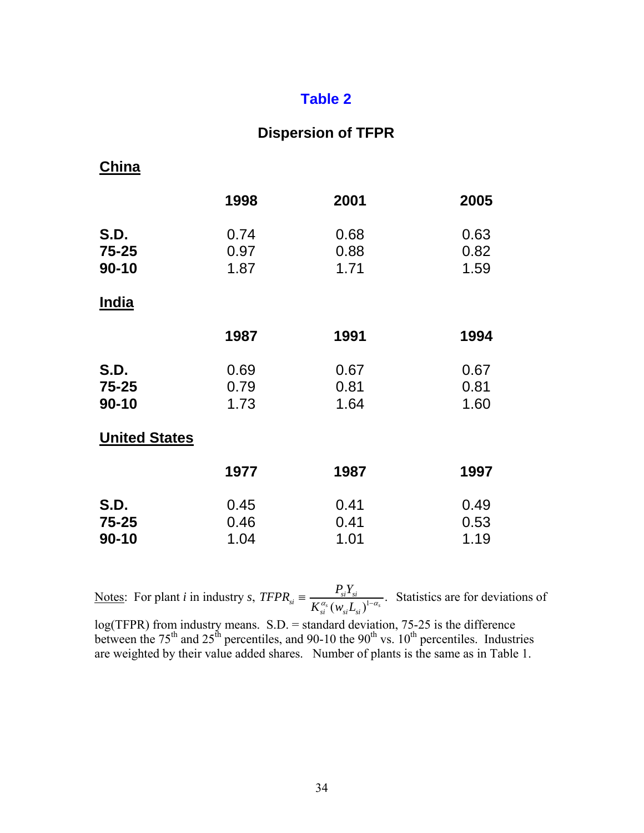### **Dispersion of TFPR**

| <b>China</b>                      |                      |                      |                      |
|-----------------------------------|----------------------|----------------------|----------------------|
|                                   | 1998                 | 2001                 | 2005                 |
| <b>S.D.</b><br>75-25<br>$90 - 10$ | 0.74<br>0.97<br>1.87 | 0.68<br>0.88<br>1.71 | 0.63<br>0.82<br>1.59 |
| <u>India</u>                      |                      |                      |                      |
|                                   | 1987                 | 1991                 | 1994                 |
| S.D.<br>75-25<br>$90 - 10$        | 0.69<br>0.79<br>1.73 | 0.67<br>0.81<br>1.64 | 0.67<br>0.81<br>1.60 |
| <b>United States</b>              |                      |                      |                      |
|                                   | 1977                 | 1987                 | 1997                 |
| S.D.<br>75-25<br>$90 - 10$        | 0.45<br>0.46<br>1.04 | 0.41<br>0.41<br>1.01 | 0.49<br>0.53<br>1.19 |

Notes: For plant *i* in industry *s*,  $TFPR_{si} \equiv \frac{I_{si}I_{si}}{K_{si}^{\alpha_s}(W_{si}L_{si})^{1-\alpha_s}}$ .  $s$ *i*  $\vee v_{si}$   $\sqcup$   $s$ *i*  $TFPR_{si} \equiv \frac{P_{si}Y_{si}}{K_{si}^{\alpha_s}(W_{si}L_{si})^{1-\alpha_s}}$ . Statistics are for deviations of log(TFPR) from industry means. S.D. = standard deviation, 75-25 is the difference

between the 75<sup>th</sup> and 25<sup>th</sup> percentiles, and 90-10 the 90<sup>th</sup> vs.  $10^{th}$  percentiles. Industries are weighted by their value added shares. Number of plants is the same as in Table 1.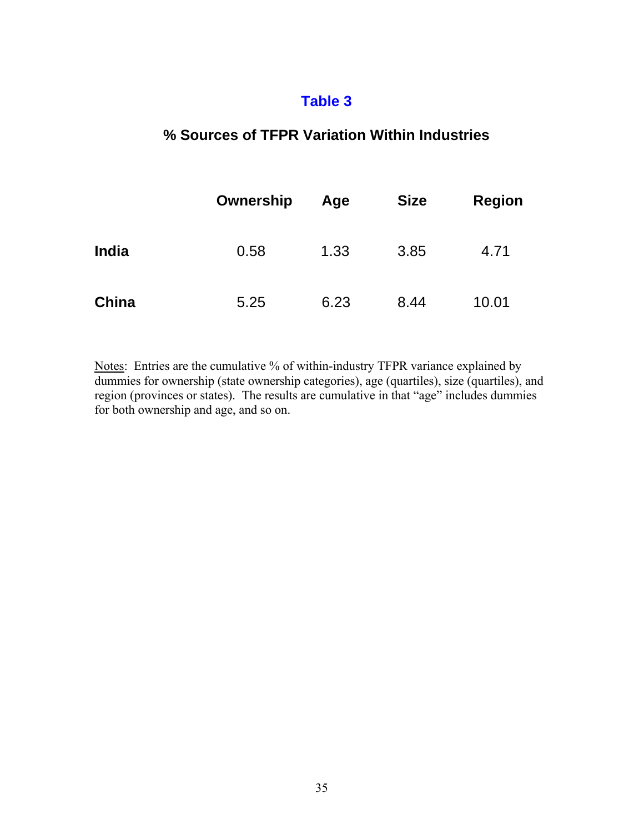### **% Sources of TFPR Variation Within Industries**

|              | Ownership | Age  | <b>Size</b> | <b>Region</b> |
|--------------|-----------|------|-------------|---------------|
| <b>India</b> | 0.58      | 1.33 | 3.85        | 4.71          |
| China        | 5.25      | 6.23 | 8.44        | 10.01         |

Notes: Entries are the cumulative % of within-industry TFPR variance explained by dummies for ownership (state ownership categories), age (quartiles), size (quartiles), and region (provinces or states). The results are cumulative in that "age" includes dummies for both ownership and age, and so on.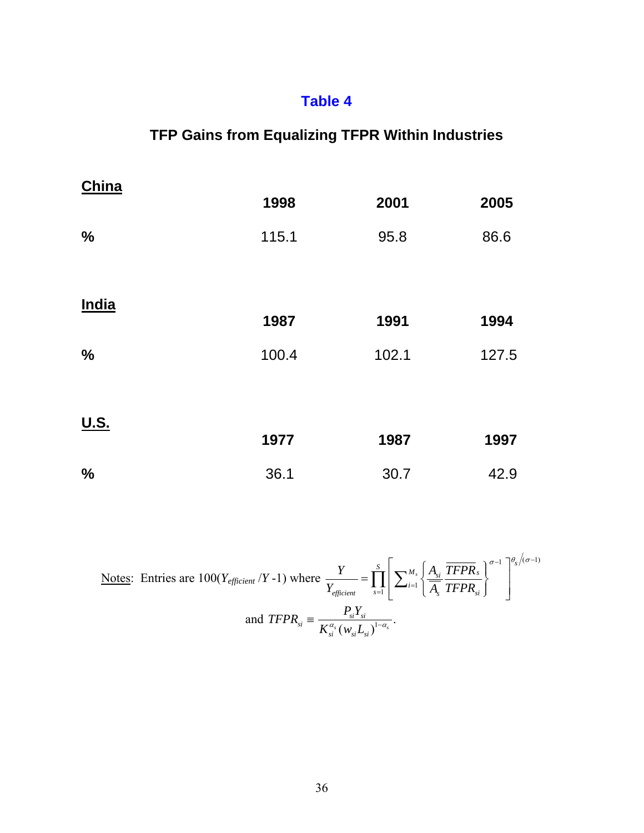# **TFP Gains from Equalizing TFPR Within Industries**

| China         |       |       |       |
|---------------|-------|-------|-------|
|               | 1998  | 2001  | 2005  |
| $\frac{0}{0}$ | 115.1 | 95.8  | 86.6  |
|               |       |       |       |
| India         |       |       |       |
|               | 1987  | 1991  | 1994  |
| $\frac{0}{0}$ | 100.4 | 102.1 | 127.5 |
|               |       |       |       |
| <u>U.S.</u>   |       |       |       |
|               | 1977  | 1987  | 1997  |
| $\frac{0}{0}$ | 36.1  | 30.7  | 42.9  |

Notes: Entries are 
$$
100(Y_{efficient} / Y - 1)
$$
 where  $\frac{Y}{Y_{efficient}} = \prod_{s=1}^{S} \left[ \sum_{i=1}^{M_s} \left\{ \frac{A_{si}}{A_s} \frac{\overline{TFPR}_s}{TFPR_{si}} \right\}^{\sigma-1} \right]^{\theta_s/(\sigma-1)}$ 

\nand  $TFPR_{si} \equiv \frac{P_{si}Y_{si}}{K_{si}^{\alpha_s}(W_{si}L_{si})^{1-\alpha_s}}$ .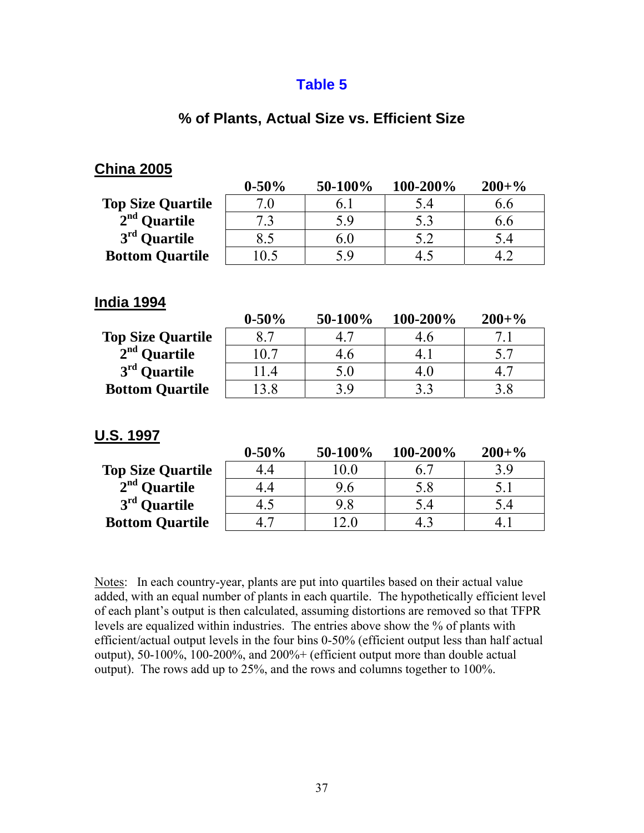#### **% of Plants, Actual Size vs. Efficient Size**

#### **China 2005**

|                          | $0 - 50%$ | 50-100% | 100-200% | $200 + %$ |
|--------------------------|-----------|---------|----------|-----------|
| <b>Top Size Quartile</b> | 7.0       |         | 5.4      | 6.6       |
| $2nd$ Quartile           | 7.3       | 5 Q     | 5.3      | 6.6       |
| 3 <sup>rd</sup> Quartile | 8.5       | 60      | 5.2      | 5.4       |
| <b>Bottom Quartile</b>   | 0.5       | 5 Q     | 4.2      |           |

#### **India 1994**

|                          | $0 - 50%$ | 50-100% | 100-200%       | $200 + %$ |
|--------------------------|-----------|---------|----------------|-----------|
| <b>Top Size Quartile</b> | 8.7       |         | 4.6            |           |
| $2nd$ Quartile           | 10.7      | 4.6     | 4 <sup>1</sup> | 57        |
| 3 <sup>rd</sup> Quartile | l 1.4     | 5.0     | 4.0            |           |
| <b>Bottom Quartile</b>   | 3.8       | 3 Q     | 3.3            |           |

#### **U.S. 1997**

|                          | $0 - 50%$ | 50-100% | 100-200% | $200 + \%$ |
|--------------------------|-----------|---------|----------|------------|
| <b>Top Size Quartile</b> | 4.4       | 10.0    | 6.7      | 3.9        |
| $2nd$ Quartile           | 4.4       | 9.6     | 5.8      |            |
| 3 <sup>rd</sup> Quartile | 4.5       | 9.8     | 5.4      | 5.4        |
| <b>Bottom Quartile</b>   |           |         | 43       |            |

Notes: In each country-year, plants are put into quartiles based on their actual value added, with an equal number of plants in each quartile. The hypothetically efficient level of each plant's output is then calculated, assuming distortions are removed so that TFPR levels are equalized within industries. The entries above show the % of plants with efficient/actual output levels in the four bins 0-50% (efficient output less than half actual output), 50-100%, 100-200%, and 200%+ (efficient output more than double actual output). The rows add up to 25%, and the rows and columns together to 100%.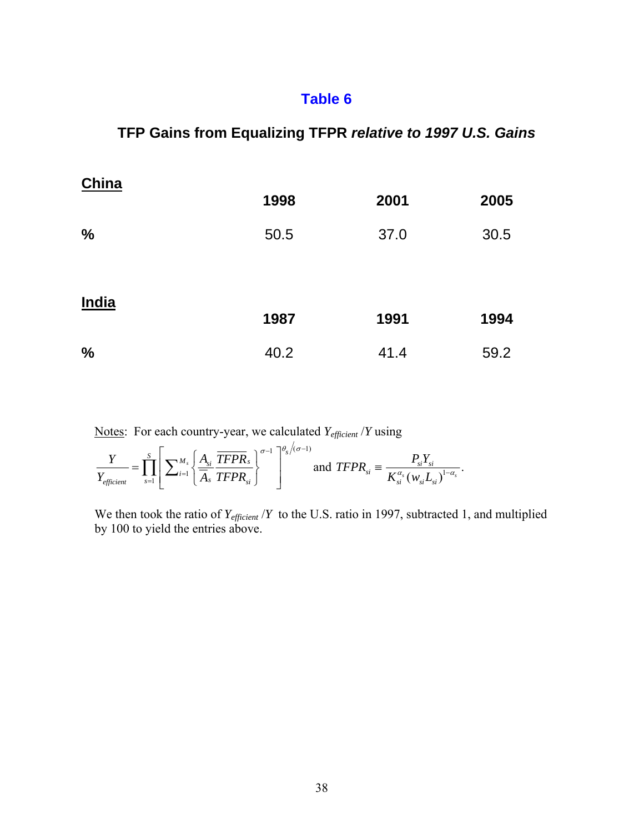### **TFP Gains from Equalizing TFPR** *relative to 1997 U.S. Gains*

| China         |      |      |      |
|---------------|------|------|------|
|               | 1998 | 2001 | 2005 |
| $\frac{0}{0}$ | 50.5 | 37.0 | 30.5 |
| India         | 1987 | 1991 | 1994 |
| $\frac{0}{0}$ | 40.2 | 41.4 | 59.2 |

Notes: For each country-year, we calculated *Yefficient* /*Y* using

 $1 \bigtriangledown \theta_s/(\sigma-1)$  $\frac{1}{1}$   $\left|$   $\frac{1}{1}$   $\right|$   $\frac{1}{1}$  $\sum_{s}^{S} \left| \sum_{s} M_{s} \right| A_{si}$  *TFPR*<sub>s</sub>  $\left| \int_{s}^{\sigma-1} \right|^{b_{si}}$ *i*  $\left[\begin{array}{c} \blacksquare \blacksquare \blacksquare \end{array}\right]$   $\left[\begin{array}{c} \square \blacksquare \end{array}\right]$   $\left[\begin{array}{c} A_s \text{ } TFPR_{si} \end{array}\right]$  $Y = \prod_{r=1}^{S} \left| A_{si} \right| A_{si}$  *TFPR*  $Y_{\text{efficient}}$  **L**<sub>1</sub>  $\sum_{s=1}^{i}$   $\sum_{i=1}^{i}$   $A_s$  **TFPR**  $\sigma$ -1 7 $\theta_s/(\sigma =\prod_{s=1}^{S}\left[\sum_{i=1}^{M_s}\left\{\frac{A_{si}}{\overline{A}_s}\frac{\overline{TFPR}_s}{TFPR_{si}}\right\}^{\sigma-1}\right]^{b_{s}/(\sigma-1)}$  and  $TFPR_{si}\equiv\frac{P_{si}Y_{si}}{K_{si}^{\alpha_{s}}(w_{si}L_{si})^{1-\alpha_{s}}}.$  $s$ *i*  $\left\langle W_{si} - s_i \right\rangle$  $TFPR_{si} \equiv \frac{P_{si}Y_{si}}{K_{si}^{\alpha_s}(W_{si}L_{si})^{1-\alpha_s}}.$ 

We then took the ratio of *Yefficient* /*Y* to the U.S. ratio in 1997, subtracted 1, and multiplied by 100 to yield the entries above.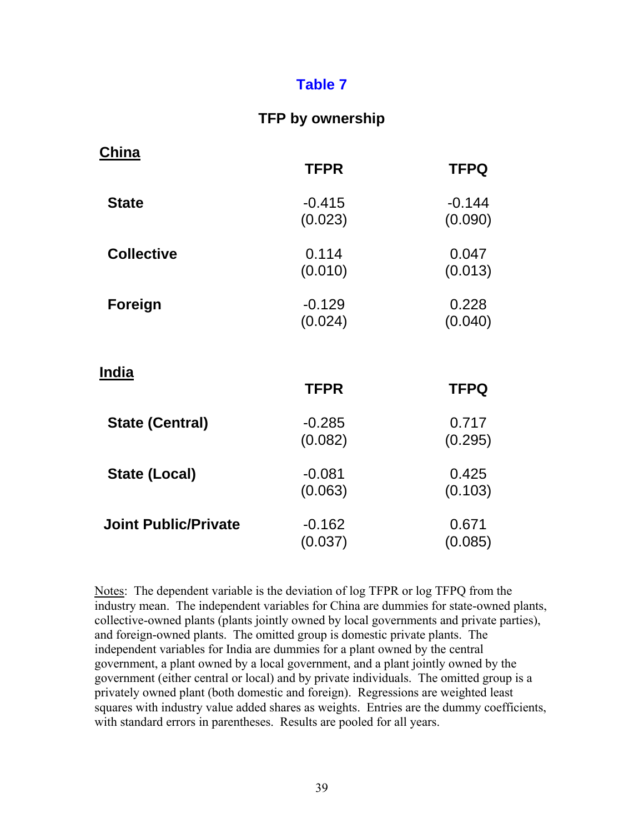### **TFP by ownership**

| <u>China</u>                | <b>TFPR</b>         | <b>TFPQ</b>         |  |
|-----------------------------|---------------------|---------------------|--|
| <b>State</b>                | $-0.415$<br>(0.023) | $-0.144$<br>(0.090) |  |
| <b>Collective</b>           | 0.114<br>(0.010)    | 0.047<br>(0.013)    |  |
| Foreign                     | $-0.129$<br>(0.024) | 0.228<br>(0.040)    |  |
| India                       | <b>TFPR</b>         | <b>TFPQ</b>         |  |
| <b>State (Central)</b>      | $-0.285$<br>(0.082) | 0.717<br>(0.295)    |  |
| <b>State (Local)</b>        | $-0.081$<br>(0.063) | 0.425<br>(0.103)    |  |
| <b>Joint Public/Private</b> | $-0.162$<br>(0.037) | 0.671<br>(0.085)    |  |

Notes: The dependent variable is the deviation of log TFPR or log TFPQ from the industry mean. The independent variables for China are dummies for state-owned plants, collective-owned plants (plants jointly owned by local governments and private parties), and foreign-owned plants. The omitted group is domestic private plants. The independent variables for India are dummies for a plant owned by the central government, a plant owned by a local government, and a plant jointly owned by the government (either central or local) and by private individuals. The omitted group is a privately owned plant (both domestic and foreign). Regressions are weighted least squares with industry value added shares as weights. Entries are the dummy coefficients, with standard errors in parentheses. Results are pooled for all years.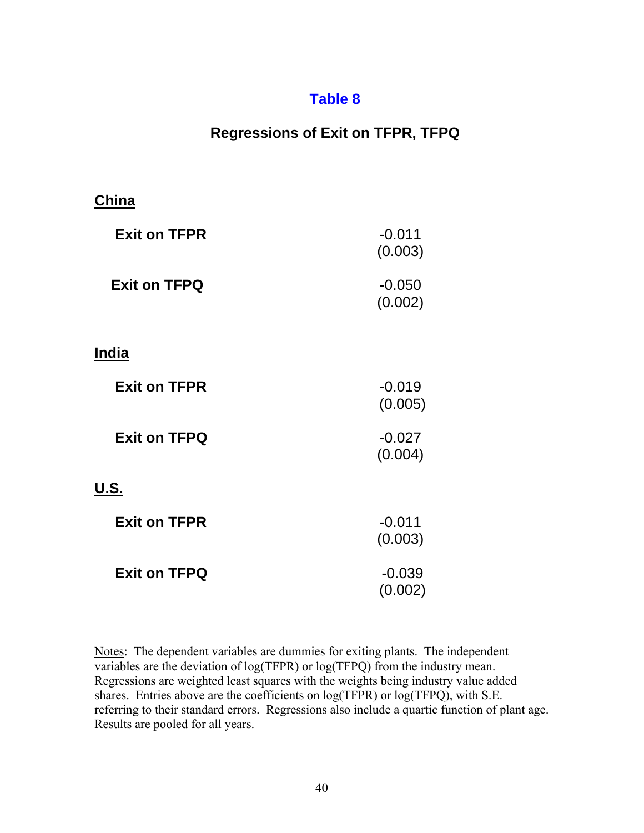### **Regressions of Exit on TFPR, TFPQ**

| <b>China</b>        |                     |
|---------------------|---------------------|
| <b>Exit on TFPR</b> | $-0.011$<br>(0.003) |
| <b>Exit on TFPQ</b> | $-0.050$<br>(0.002) |
| <u>India</u>        |                     |
| <b>Exit on TFPR</b> | $-0.019$<br>(0.005) |
| <b>Exit on TFPQ</b> | $-0.027$<br>(0.004) |
| <u>U.S.</u>         |                     |
| <b>Exit on TFPR</b> | $-0.011$<br>(0.003) |
| <b>Exit on TFPQ</b> | $-0.039$<br>(0.002) |

Notes: The dependent variables are dummies for exiting plants. The independent variables are the deviation of log(TFPR) or log(TFPQ) from the industry mean. Regressions are weighted least squares with the weights being industry value added shares. Entries above are the coefficients on log(TFPR) or log(TFPQ), with S.E. referring to their standard errors. Regressions also include a quartic function of plant age. Results are pooled for all years.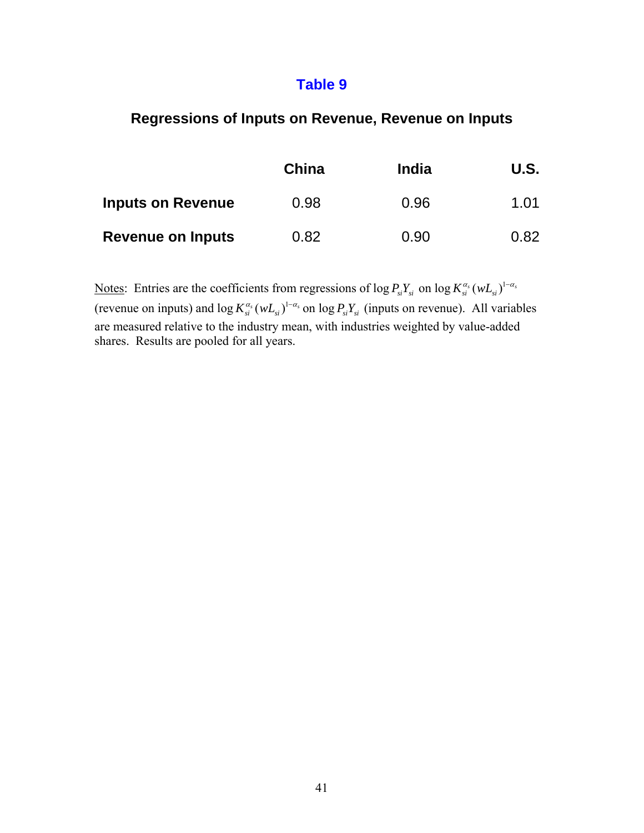## **Regressions of Inputs on Revenue, Revenue on Inputs**

|                          | China | India | U.S. |
|--------------------------|-------|-------|------|
| <b>Inputs on Revenue</b> | 0.98  | 0.96  | 1.01 |
| Revenue on Inputs        | 0.82  | 0.90  | 0.82 |

Notes: Entries are the coefficients from regressions of  $\log P_{si} Y_{si}$  on  $\log K_{si}^{\alpha_s} (w L_{si})^{1-\alpha_s}$ (revenue on inputs) and  $\log K_{si}^{\alpha_s}(wL_{si})^{1-\alpha_s}$  on  $\log P_{si}Y_{si}$  (inputs on revenue). All variables are measured relative to the industry mean, with industries weighted by value-added shares. Results are pooled for all years.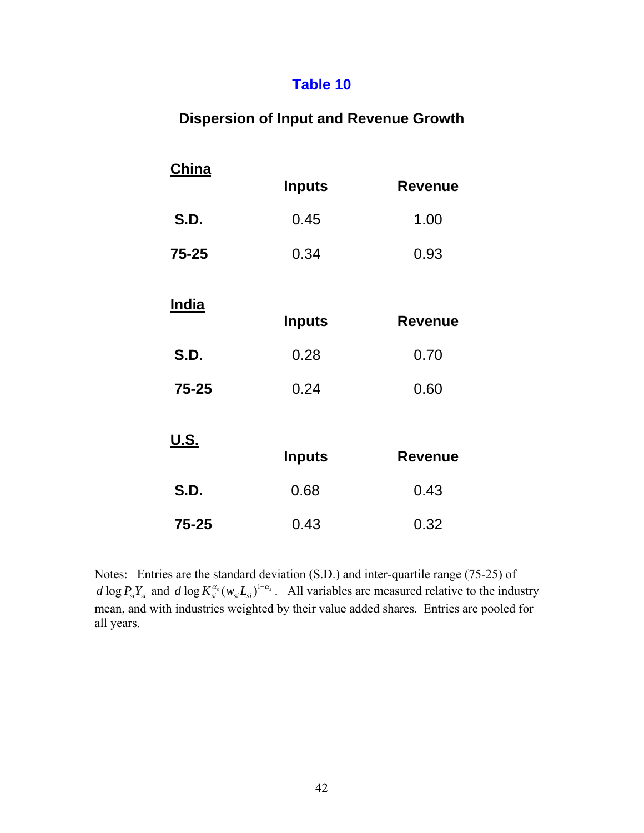### **Dispersion of Input and Revenue Growth**

| <b>China</b> | <b>Inputs</b> | <b>Revenue</b> |
|--------------|---------------|----------------|
| S.D.         | 0.45          | 1.00           |
| $75 - 25$    | 0.34          | 0.93           |
| <b>India</b> | <b>Inputs</b> | <b>Revenue</b> |
| S.D.         | 0.28          | 0.70           |
| $75 - 25$    | 0.24          | 0.60           |
| <u>U.S.</u>  | <b>Inputs</b> | <b>Revenue</b> |
| S.D.         | 0.68          | 0.43           |
| $75 - 25$    | 0.43          | 0.32           |

Notes: Entries are the standard deviation (S.D.) and inter-quartile range (75-25) of  $d \log P_{si} Y_{si}$  and  $d \log K_{si}^{\alpha_s} (w_{si} L_{si})^{1-\alpha_s}$ . All variables are measured relative to the industry mean, and with industries weighted by their value added shares. Entries are pooled for all years.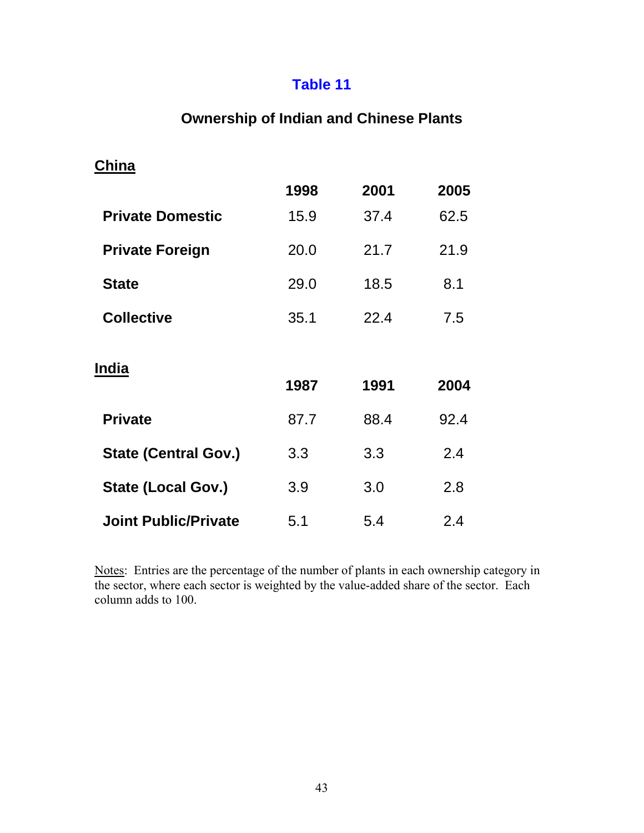## **Ownership of Indian and Chinese Plants**

| China                       |      |      |      |
|-----------------------------|------|------|------|
|                             | 1998 | 2001 | 2005 |
| <b>Private Domestic</b>     | 15.9 | 37.4 | 62.5 |
| <b>Private Foreign</b>      | 20.0 | 21.7 | 21.9 |
| <b>State</b>                | 29.0 | 18.5 | 8.1  |
| <b>Collective</b>           | 35.1 | 22.4 | 7.5  |
|                             |      |      |      |
| <u>India</u>                | 1987 | 1991 | 2004 |
| <b>Private</b>              | 87.7 | 88.4 | 92.4 |
| <b>State (Central Gov.)</b> | 3.3  | 3.3  | 2.4  |
| <b>State (Local Gov.)</b>   | 3.9  | 3.0  | 2.8  |
| <b>Joint Public/Private</b> | 5.1  | 5.4  | 2.4  |

Notes: Entries are the percentage of the number of plants in each ownership category in the sector, where each sector is weighted by the value-added share of the sector. Each column adds to 100.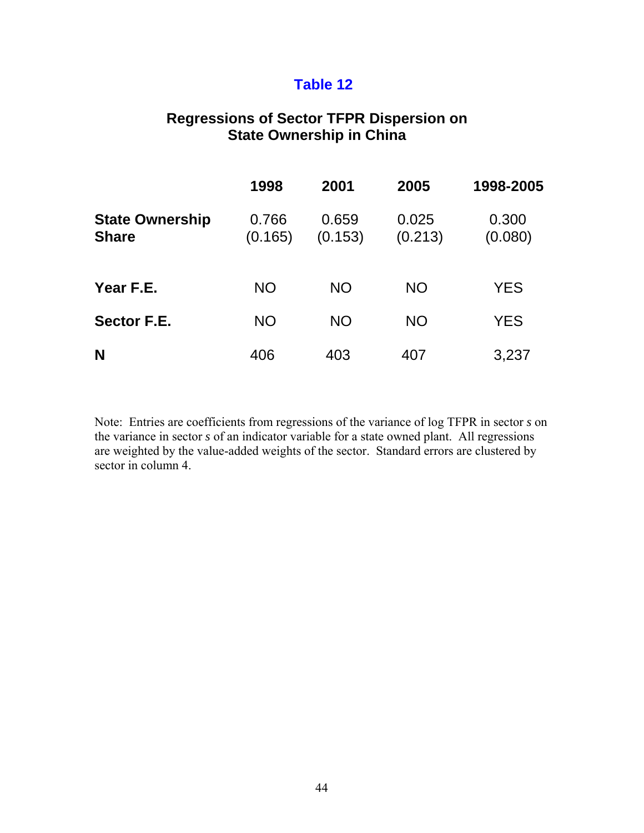### **Regressions of Sector TFPR Dispersion on State Ownership in China**

|                                        | 1998             | 2001             | 2005             | 1998-2005        |
|----------------------------------------|------------------|------------------|------------------|------------------|
| <b>State Ownership</b><br><b>Share</b> | 0.766<br>(0.165) | 0.659<br>(0.153) | 0.025<br>(0.213) | 0.300<br>(0.080) |
| Year F.E.                              | <b>NO</b>        | <b>NO</b>        | <b>NO</b>        | <b>YES</b>       |
| Sector F.E.                            | <b>NO</b>        | <b>NO</b>        | <b>NO</b>        | <b>YES</b>       |
| N                                      | 406              | 403              | 407              | 3,237            |

Note: Entries are coefficients from regressions of the variance of log TFPR in sector *s* on the variance in sector *s* of an indicator variable for a state owned plant. All regressions are weighted by the value-added weights of the sector. Standard errors are clustered by sector in column 4.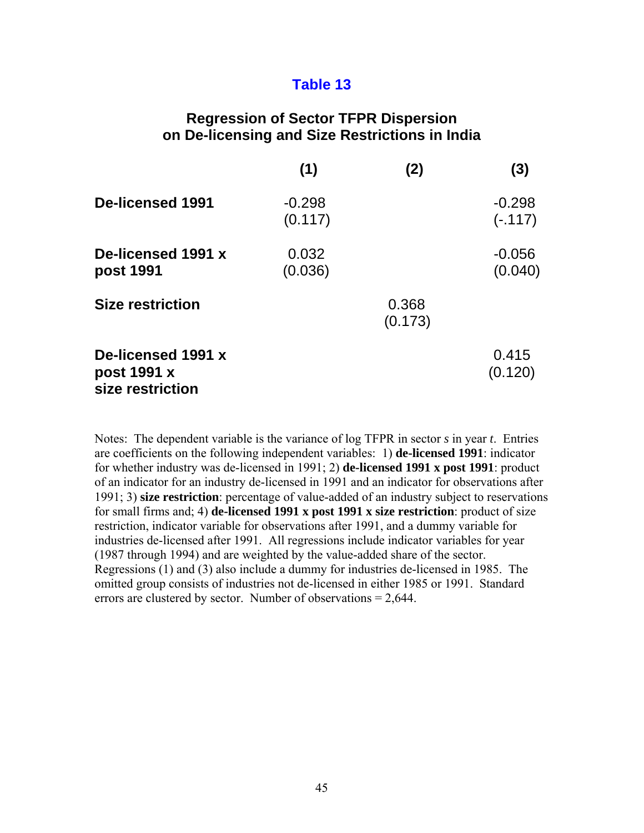#### **Regression of Sector TFPR Dispersion on De-licensing and Size Restrictions in India**

|                                                       | (1)                 | (2)              | (3)                   |
|-------------------------------------------------------|---------------------|------------------|-----------------------|
| <b>De-licensed 1991</b>                               | $-0.298$<br>(0.117) |                  | $-0.298$<br>$(-.117)$ |
| De-licensed 1991 x<br>post 1991                       | 0.032<br>(0.036)    |                  | $-0.056$<br>(0.040)   |
| <b>Size restriction</b>                               |                     | 0.368<br>(0.173) |                       |
| De-licensed 1991 x<br>post 1991 x<br>size restriction |                     |                  | 0.415<br>(0.120)      |

Notes: The dependent variable is the variance of log TFPR in sector *s* in year *t*. Entries are coefficients on the following independent variables: 1) **de-licensed 1991**: indicator for whether industry was de-licensed in 1991; 2) **de-licensed 1991 x post 1991**: product of an indicator for an industry de-licensed in 1991 and an indicator for observations after 1991; 3) **size restriction**: percentage of value-added of an industry subject to reservations for small firms and; 4) **de-licensed 1991 x post 1991 x size restriction**: product of size restriction, indicator variable for observations after 1991, and a dummy variable for industries de-licensed after 1991. All regressions include indicator variables for year (1987 through 1994) and are weighted by the value-added share of the sector. Regressions (1) and (3) also include a dummy for industries de-licensed in 1985. The omitted group consists of industries not de-licensed in either 1985 or 1991. Standard errors are clustered by sector. Number of observations = 2,644.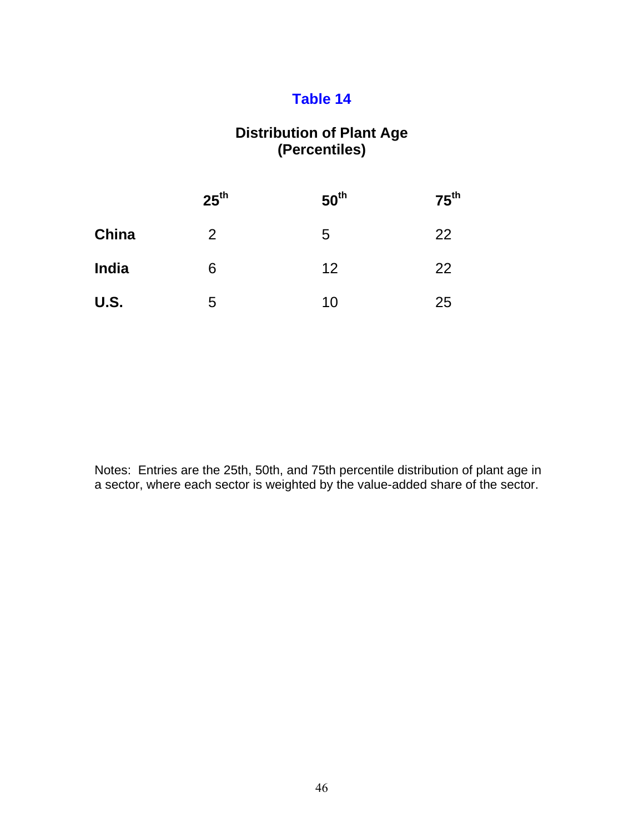### **Distribution of Plant Age (Percentiles)**

|             | 25 <sup>th</sup> | 50 <sup>th</sup> | $75^{\text{th}}$ |
|-------------|------------------|------------------|------------------|
| China       | $\overline{2}$   | 5                | 22               |
| India       | 6                | 12               | 22               |
| <b>U.S.</b> | 5                | 10               | 25               |

Notes: Entries are the 25th, 50th, and 75th percentile distribution of plant age in a sector, where each sector is weighted by the value-added share of the sector.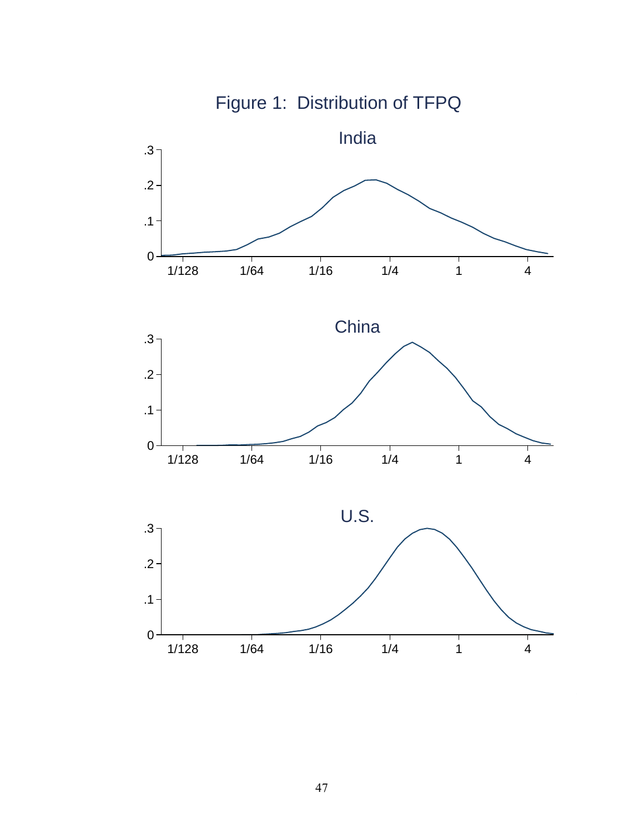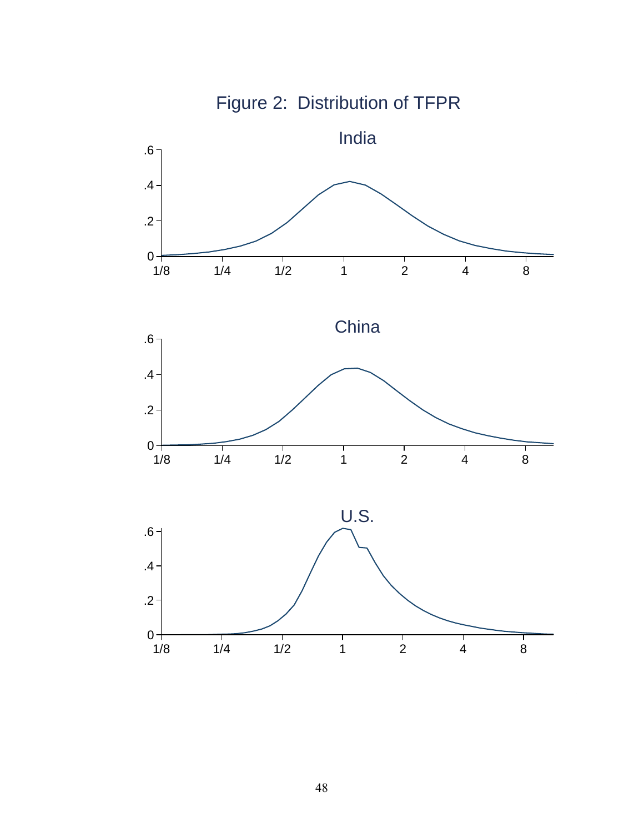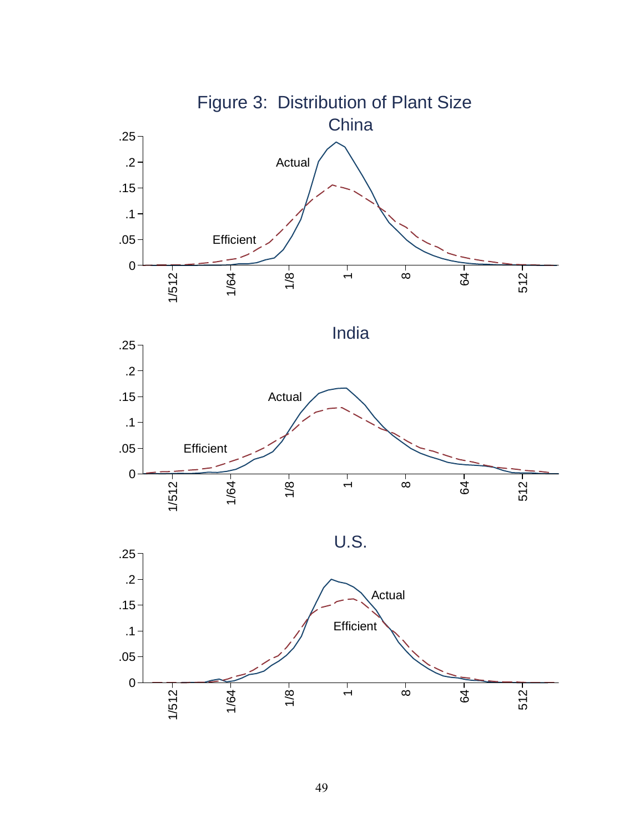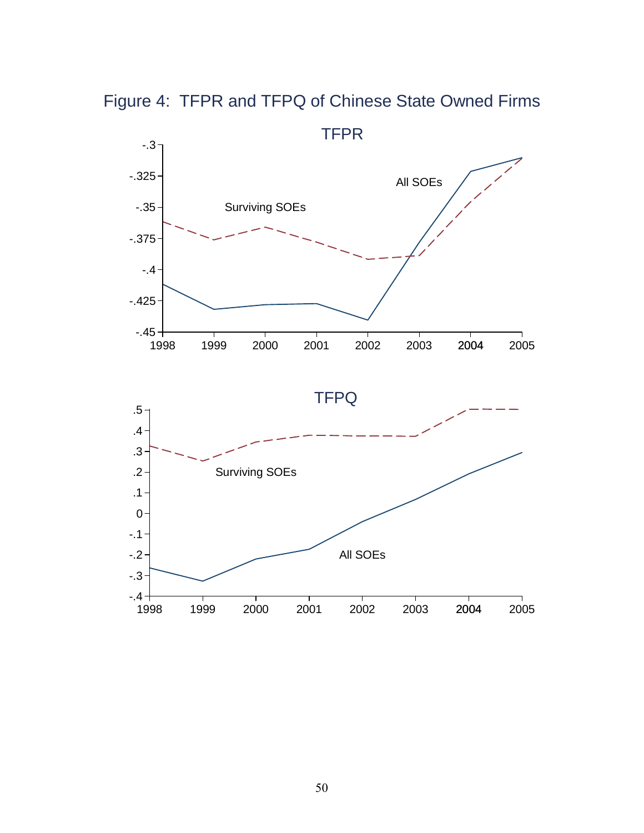

Figure 4: TFPR and TFPQ of Chinese State Owned Firms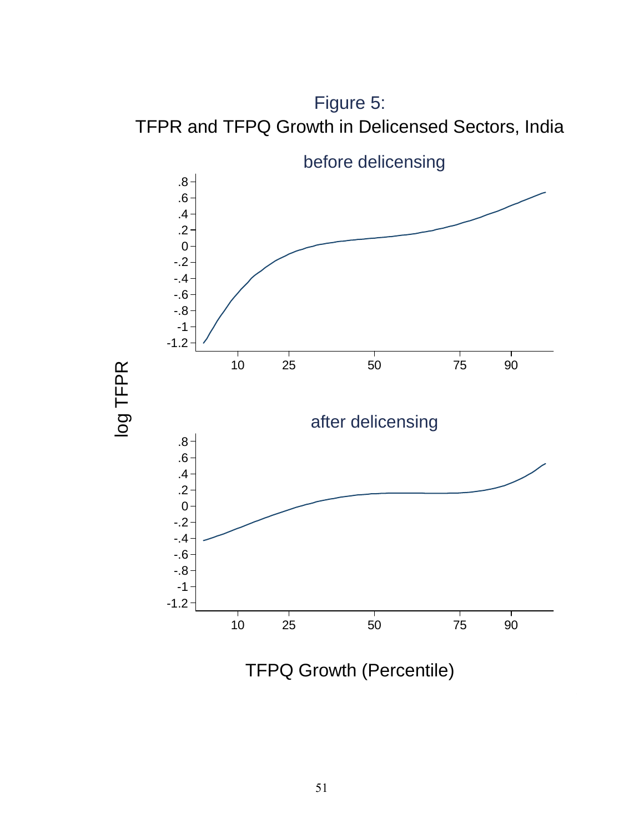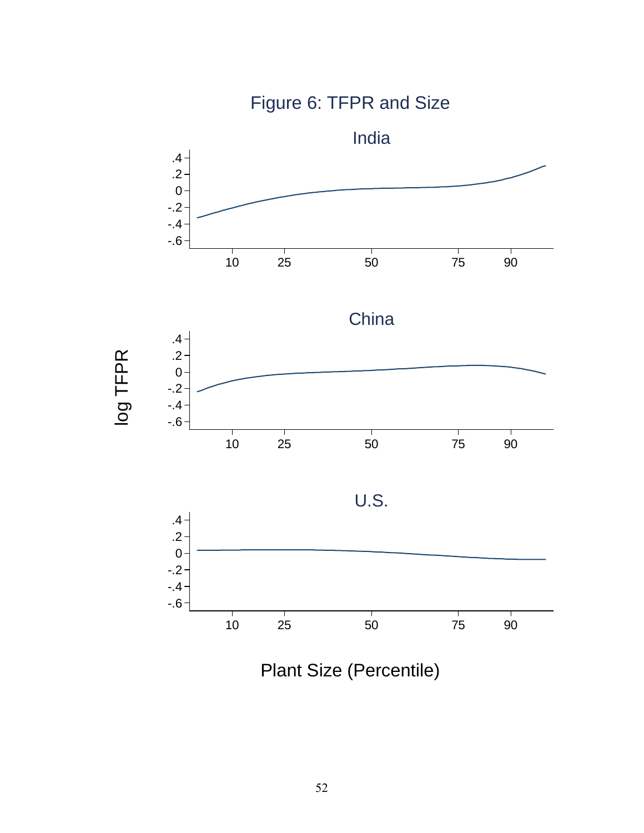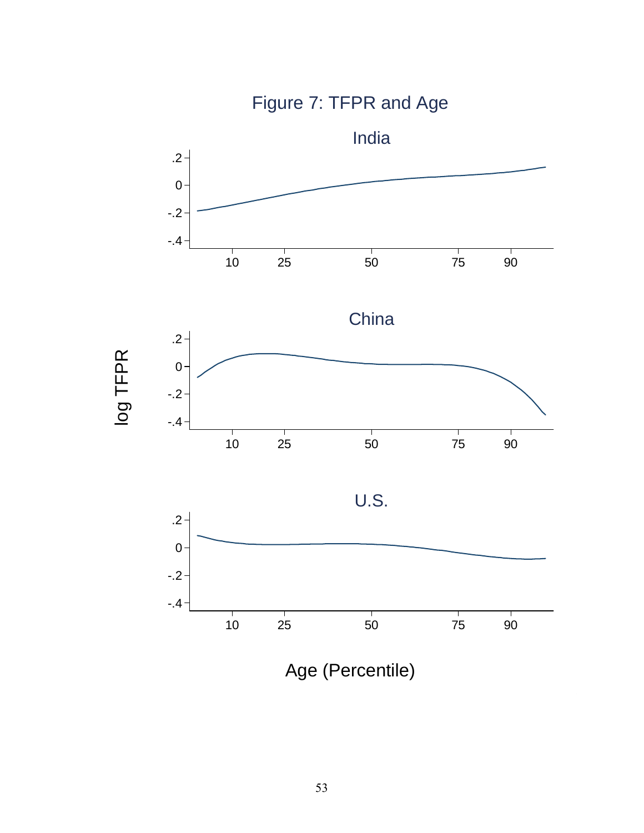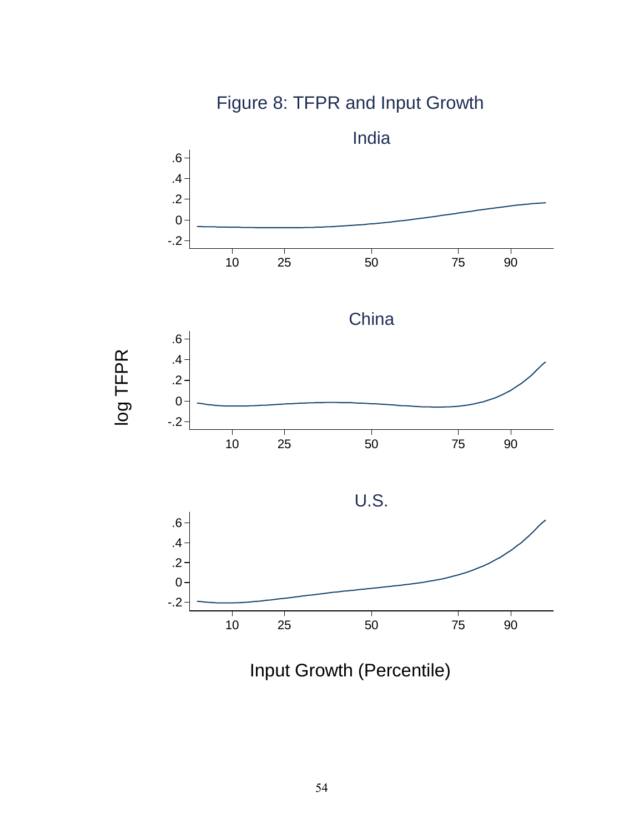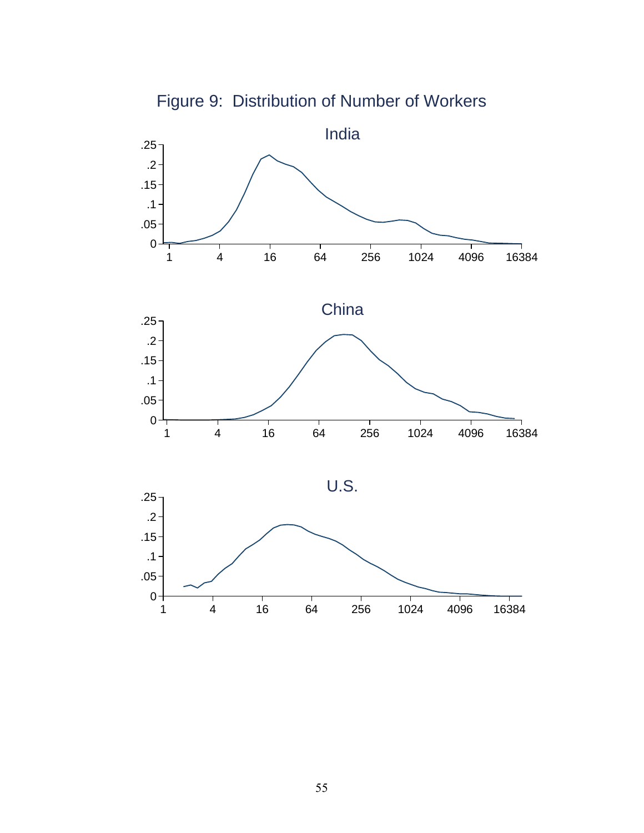

55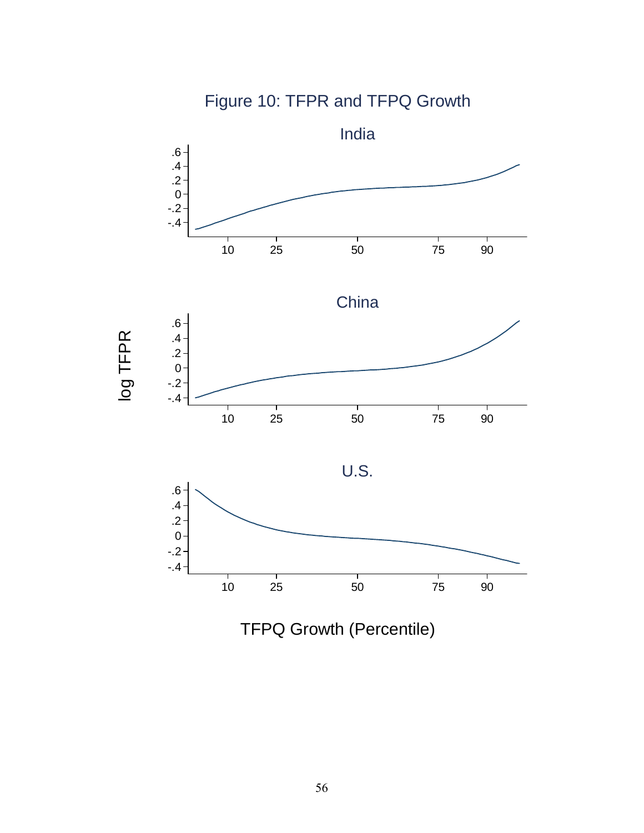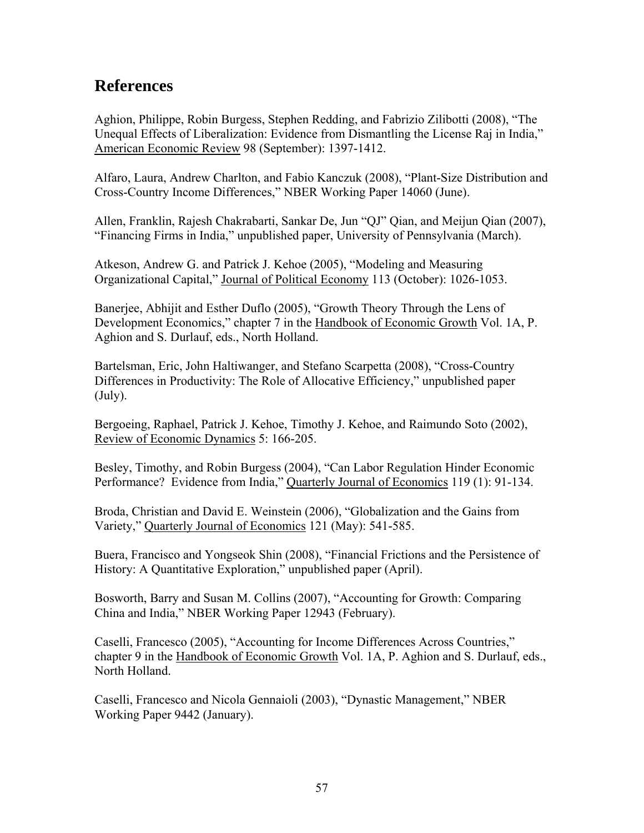## **References**

Aghion, Philippe, Robin Burgess, Stephen Redding, and Fabrizio Zilibotti (2008), "The Unequal Effects of Liberalization: Evidence from Dismantling the License Raj in India," American Economic Review 98 (September): 1397-1412.

Alfaro, Laura, Andrew Charlton, and Fabio Kanczuk (2008), "Plant-Size Distribution and Cross-Country Income Differences," NBER Working Paper 14060 (June).

Allen, Franklin, Rajesh Chakrabarti, Sankar De, Jun "QJ" Qian, and Meijun Qian (2007), "Financing Firms in India," unpublished paper, University of Pennsylvania (March).

Atkeson, Andrew G. and Patrick J. Kehoe (2005), "Modeling and Measuring Organizational Capital," Journal of Political Economy 113 (October): 1026-1053.

Banerjee, Abhijit and Esther Duflo (2005), "Growth Theory Through the Lens of Development Economics," chapter 7 in the Handbook of Economic Growth Vol. 1A, P. Aghion and S. Durlauf, eds., North Holland.

Bartelsman, Eric, John Haltiwanger, and Stefano Scarpetta (2008), "Cross-Country Differences in Productivity: The Role of Allocative Efficiency," unpublished paper (July).

Bergoeing, Raphael, Patrick J. Kehoe, Timothy J. Kehoe, and Raimundo Soto (2002), Review of Economic Dynamics 5: 166-205.

Besley, Timothy, and Robin Burgess (2004), "Can Labor Regulation Hinder Economic Performance? Evidence from India," Quarterly Journal of Economics 119 (1): 91-134.

Broda, Christian and David E. Weinstein (2006), "Globalization and the Gains from Variety," Quarterly Journal of Economics 121 (May): 541-585.

Buera, Francisco and Yongseok Shin (2008), "Financial Frictions and the Persistence of History: A Quantitative Exploration," unpublished paper (April).

Bosworth, Barry and Susan M. Collins (2007), "Accounting for Growth: Comparing China and India," NBER Working Paper 12943 (February).

Caselli, Francesco (2005), "Accounting for Income Differences Across Countries," chapter 9 in the Handbook of Economic Growth Vol. 1A, P. Aghion and S. Durlauf, eds., North Holland.

Caselli, Francesco and Nicola Gennaioli (2003), "Dynastic Management," NBER Working Paper 9442 (January).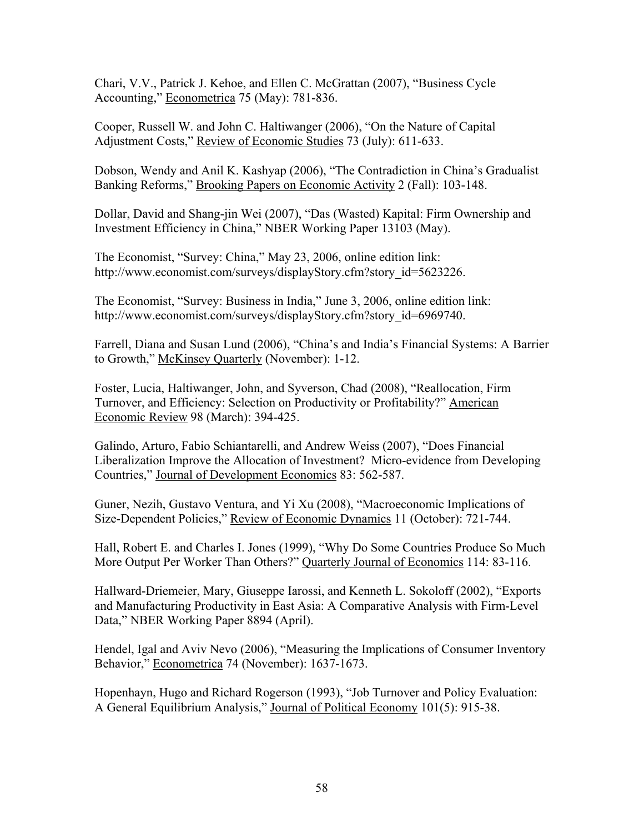Chari, V.V., Patrick J. Kehoe, and Ellen C. McGrattan (2007), "Business Cycle Accounting," Econometrica 75 (May): 781-836.

Cooper, Russell W. and John C. Haltiwanger (2006), "On the Nature of Capital Adjustment Costs," Review of Economic Studies 73 (July): 611-633.

Dobson, Wendy and Anil K. Kashyap (2006), "The Contradiction in China's Gradualist Banking Reforms," Brooking Papers on Economic Activity 2 (Fall): 103-148.

Dollar, David and Shang-jin Wei (2007), "Das (Wasted) Kapital: Firm Ownership and Investment Efficiency in China," NBER Working Paper 13103 (May).

The Economist, "Survey: China," May 23, 2006, online edition link: http://www.economist.com/surveys/displayStory.cfm?story\_id=5623226.

The Economist, "Survey: Business in India," June 3, 2006, online edition link: http://www.economist.com/surveys/displayStory.cfm?story\_id=6969740.

Farrell, Diana and Susan Lund (2006), "China's and India's Financial Systems: A Barrier to Growth," McKinsey Quarterly (November): 1-12.

Foster, Lucia, Haltiwanger, John, and Syverson, Chad (2008), "Reallocation, Firm Turnover, and Efficiency: Selection on Productivity or Profitability?" American Economic Review 98 (March): 394-425.

Galindo, Arturo, Fabio Schiantarelli, and Andrew Weiss (2007), "Does Financial Liberalization Improve the Allocation of Investment? Micro-evidence from Developing Countries," Journal of Development Economics 83: 562-587.

Guner, Nezih, Gustavo Ventura, and Yi Xu (2008), "Macroeconomic Implications of Size-Dependent Policies," Review of Economic Dynamics 11 (October): 721-744.

Hall, Robert E. and Charles I. Jones (1999), "Why Do Some Countries Produce So Much More Output Per Worker Than Others?" Quarterly Journal of Economics 114: 83-116.

Hallward-Driemeier, Mary, Giuseppe Iarossi, and Kenneth L. Sokoloff (2002), "Exports and Manufacturing Productivity in East Asia: A Comparative Analysis with Firm-Level Data," NBER Working Paper 8894 (April).

Hendel, Igal and Aviv Nevo (2006), "Measuring the Implications of Consumer Inventory Behavior," Econometrica 74 (November): 1637-1673.

Hopenhayn, Hugo and Richard Rogerson (1993), "Job Turnover and Policy Evaluation: A General Equilibrium Analysis," Journal of Political Economy 101(5): 915-38.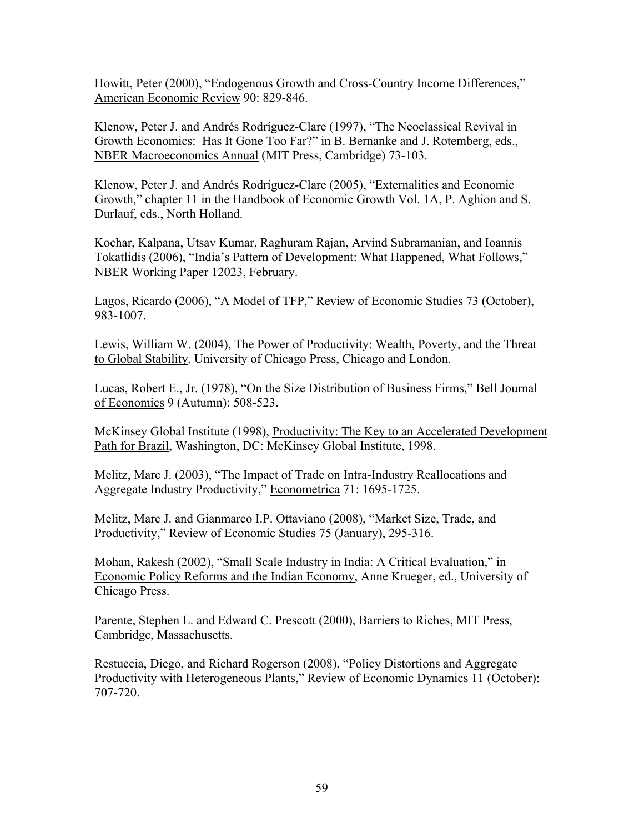Howitt, Peter (2000), "Endogenous Growth and Cross-Country Income Differences," American Economic Review 90: 829-846.

Klenow, Peter J. and Andrés Rodríguez-Clare (1997), "The Neoclassical Revival in Growth Economics: Has It Gone Too Far?" in B. Bernanke and J. Rotemberg, eds., NBER Macroeconomics Annual (MIT Press, Cambridge) 73-103.

Klenow, Peter J. and Andrés Rodríguez-Clare (2005), "Externalities and Economic Growth," chapter 11 in the Handbook of Economic Growth Vol. 1A, P. Aghion and S. Durlauf, eds., North Holland.

Kochar, Kalpana, Utsav Kumar, Raghuram Rajan, Arvind Subramanian, and Ioannis Tokatlidis (2006), "India's Pattern of Development: What Happened, What Follows," NBER Working Paper 12023, February.

Lagos, Ricardo (2006), "A Model of TFP," Review of Economic Studies 73 (October), 983-1007.

Lewis, William W. (2004), The Power of Productivity: Wealth, Poverty, and the Threat to Global Stability, University of Chicago Press, Chicago and London.

Lucas, Robert E., Jr. (1978), "On the Size Distribution of Business Firms," Bell Journal of Economics 9 (Autumn): 508-523.

McKinsey Global Institute (1998), Productivity: The Key to an Accelerated Development Path for Brazil, Washington, DC: McKinsey Global Institute, 1998.

Melitz, Marc J. (2003), "The Impact of Trade on Intra-Industry Reallocations and Aggregate Industry Productivity," Econometrica 71: 1695-1725.

Melitz, Marc J. and Gianmarco I.P. Ottaviano (2008), "Market Size, Trade, and Productivity," Review of Economic Studies 75 (January), 295-316.

Mohan, Rakesh (2002), "Small Scale Industry in India: A Critical Evaluation," in Economic Policy Reforms and the Indian Economy, Anne Krueger, ed., University of Chicago Press.

Parente, Stephen L. and Edward C. Prescott (2000), Barriers to Riches, MIT Press, Cambridge, Massachusetts.

Restuccia, Diego, and Richard Rogerson (2008), "Policy Distortions and Aggregate Productivity with Heterogeneous Plants," Review of Economic Dynamics 11 (October): 707-720.